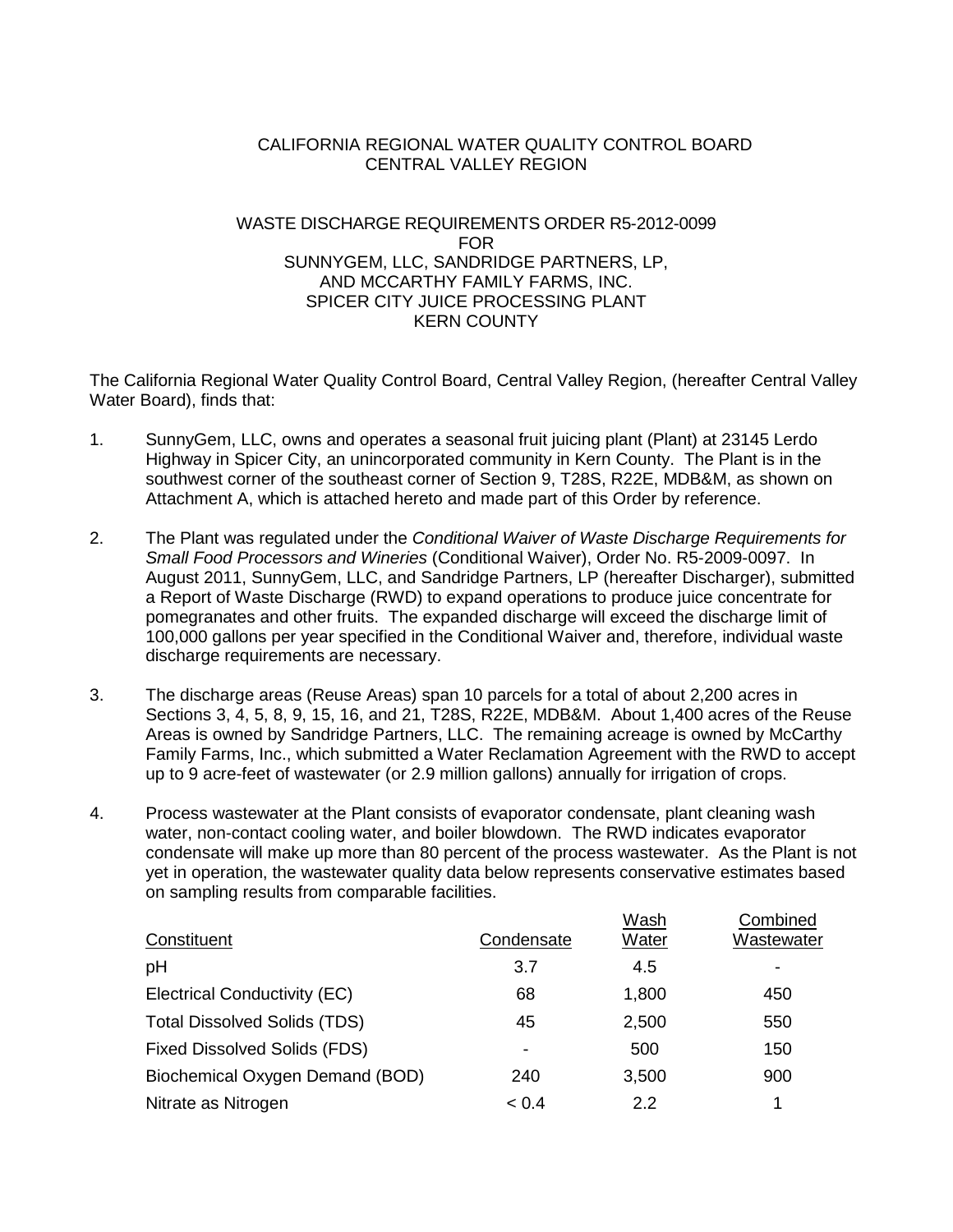## CALIFORNIA REGIONAL WATER QUALITY CONTROL BOARD CENTRAL VALLEY REGION

## WASTE DISCHARGE REQUIREMENTS ORDER R5-2012-0099 FOR SUNNYGEM, LLC, SANDRIDGE PARTNERS, LP, AND MCCARTHY FAMILY FARMS, INC. SPICER CITY JUICE PROCESSING PLANT KERN COUNTY

The California Regional Water Quality Control Board, Central Valley Region, (hereafter Central Valley Water Board), finds that:

- 1. SunnyGem, LLC, owns and operates a seasonal fruit juicing plant (Plant) at 23145 Lerdo Highway in Spicer City, an unincorporated community in Kern County. The Plant is in the southwest corner of the southeast corner of Section 9, T28S, R22E, MDB&M, as shown on Attachment A, which is attached hereto and made part of this Order by reference.
- 2. The Plant was regulated under the *Conditional Waiver of Waste Discharge Requirements for Small Food Processors and Wineries* (Conditional Waiver), Order No. R5-2009-0097. In August 2011, SunnyGem, LLC, and Sandridge Partners, LP (hereafter Discharger), submitted a Report of Waste Discharge (RWD) to expand operations to produce juice concentrate for pomegranates and other fruits. The expanded discharge will exceed the discharge limit of 100,000 gallons per year specified in the Conditional Waiver and, therefore, individual waste discharge requirements are necessary.
- 3. The discharge areas (Reuse Areas) span 10 parcels for a total of about 2,200 acres in Sections 3, 4, 5, 8, 9, 15, 16, and 21, T28S, R22E, MDB&M. About 1,400 acres of the Reuse Areas is owned by Sandridge Partners, LLC. The remaining acreage is owned by McCarthy Family Farms, Inc., which submitted a Water Reclamation Agreement with the RWD to accept up to 9 acre-feet of wastewater (or 2.9 million gallons) annually for irrigation of crops.
- 4. Process wastewater at the Plant consists of evaporator condensate, plant cleaning wash water, non-contact cooling water, and boiler blowdown. The RWD indicates evaporator condensate will make up more than 80 percent of the process wastewater. As the Plant is not yet in operation, the wastewater quality data below represents conservative estimates based on sampling results from comparable facilities.

|                                     |                          | Wash  | Combined   |
|-------------------------------------|--------------------------|-------|------------|
| Constituent                         | Condensate               | Water | Wastewater |
| pH                                  | 3.7                      | 4.5   |            |
| Electrical Conductivity (EC)        | 68                       | 1,800 | 450        |
| <b>Total Dissolved Solids (TDS)</b> | 45                       | 2,500 | 550        |
| <b>Fixed Dissolved Solids (FDS)</b> | $\overline{\phantom{0}}$ | 500   | 150        |
| Biochemical Oxygen Demand (BOD)     | 240                      | 3,500 | 900        |
| Nitrate as Nitrogen                 | < 0.4                    | 2.2   | 1          |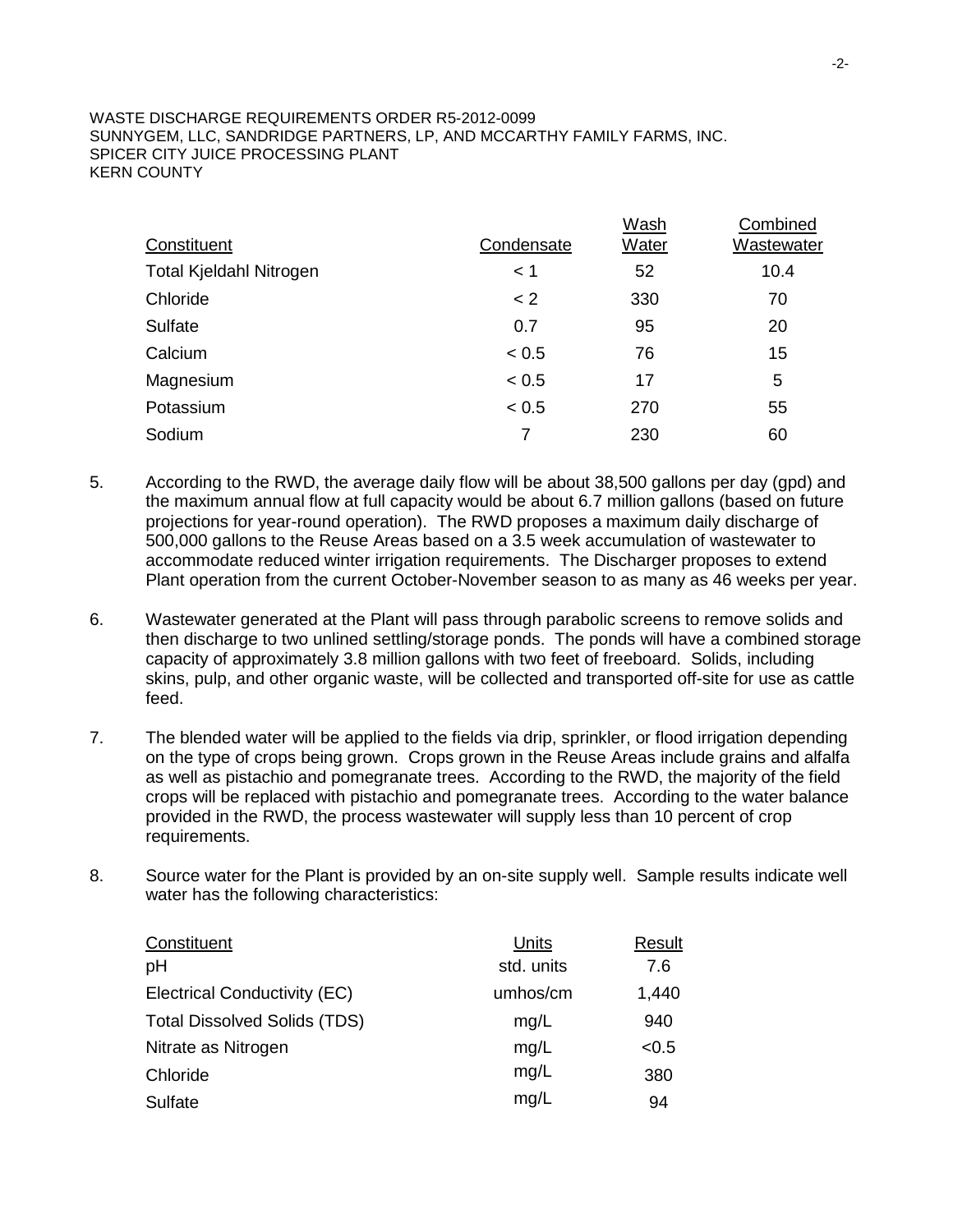| Constituent                    | Condensate | Wash<br><b>Water</b> | Combined<br>Wastewater |
|--------------------------------|------------|----------------------|------------------------|
| <b>Total Kjeldahl Nitrogen</b> | < 1        | 52                   | 10.4                   |
| Chloride                       | $\lt 2$    | 330                  | 70                     |
| <b>Sulfate</b>                 | 0.7        | 95                   | 20                     |
| Calcium                        | < 0.5      | 76                   | 15                     |
| Magnesium                      | < 0.5      | 17                   | 5                      |
| Potassium                      | < 0.5      | 270                  | 55                     |
| Sodium                         | 7          | 230                  | 60                     |

- 5. According to the RWD, the average daily flow will be about 38,500 gallons per day (gpd) and the maximum annual flow at full capacity would be about 6.7 million gallons (based on future projections for year-round operation). The RWD proposes a maximum daily discharge of 500,000 gallons to the Reuse Areas based on a 3.5 week accumulation of wastewater to accommodate reduced winter irrigation requirements. The Discharger proposes to extend Plant operation from the current October-November season to as many as 46 weeks per year.
- 6. Wastewater generated at the Plant will pass through parabolic screens to remove solids and then discharge to two unlined settling/storage ponds. The ponds will have a combined storage capacity of approximately 3.8 million gallons with two feet of freeboard. Solids, including skins, pulp, and other organic waste, will be collected and transported off-site for use as cattle feed.
- 7. The blended water will be applied to the fields via drip, sprinkler, or flood irrigation depending on the type of crops being grown. Crops grown in the Reuse Areas include grains and alfalfa as well as pistachio and pomegranate trees. According to the RWD, the majority of the field crops will be replaced with pistachio and pomegranate trees. According to the water balance provided in the RWD, the process wastewater will supply less than 10 percent of crop requirements.
- 8. Source water for the Plant is provided by an on-site supply well. Sample results indicate well water has the following characteristics:

| Units      | Result |
|------------|--------|
| std. units | 7.6    |
| umhos/cm   | 1,440  |
| mg/L       | 940    |
| mg/L       | < 0.5  |
| mg/L       | 380    |
| mg/L       | 94     |
|            |        |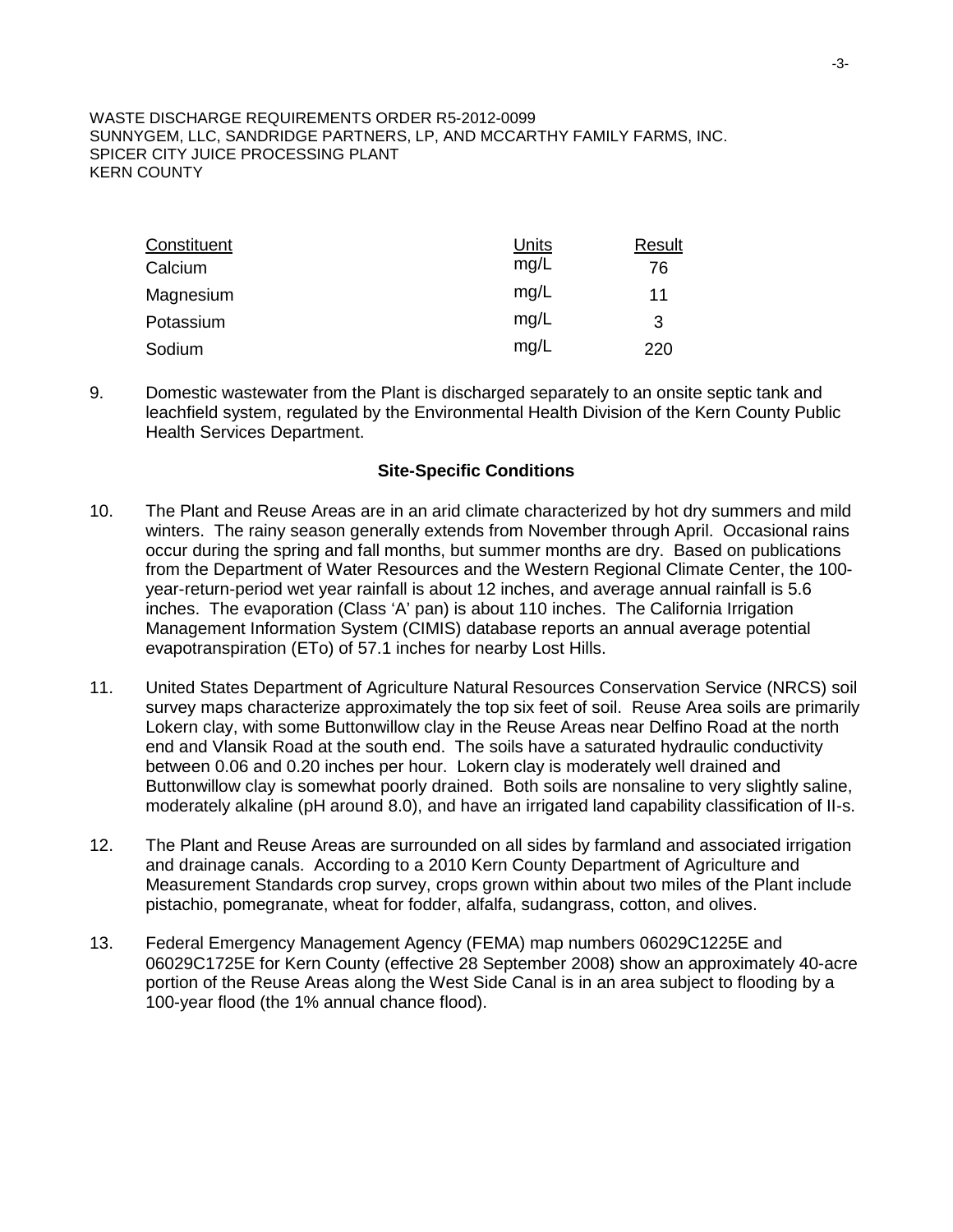| Constituent | <b>Units</b> | Result |
|-------------|--------------|--------|
| Calcium     | mg/L         | 76     |
| Magnesium   | mg/L         | 11     |
| Potassium   | mg/L         | 3      |
| Sodium      | mg/L         | 220    |

9. Domestic wastewater from the Plant is discharged separately to an onsite septic tank and leachfield system, regulated by the Environmental Health Division of the Kern County Public Health Services Department.

### **Site-Specific Conditions**

- 10. The Plant and Reuse Areas are in an arid climate characterized by hot dry summers and mild winters. The rainy season generally extends from November through April. Occasional rains occur during the spring and fall months, but summer months are dry. Based on publications from the Department of Water Resources and the Western Regional Climate Center, the 100 year-return-period wet year rainfall is about 12 inches, and average annual rainfall is 5.6 inches. The evaporation (Class 'A' pan) is about 110 inches. The California Irrigation Management Information System (CIMIS) database reports an annual average potential evapotranspiration (ETo) of 57.1 inches for nearby Lost Hills.
- 11. United States Department of Agriculture Natural Resources Conservation Service (NRCS) soil survey maps characterize approximately the top six feet of soil. Reuse Area soils are primarily Lokern clay, with some Buttonwillow clay in the Reuse Areas near Delfino Road at the north end and Vlansik Road at the south end. The soils have a saturated hydraulic conductivity between 0.06 and 0.20 inches per hour. Lokern clay is moderately well drained and Buttonwillow clay is somewhat poorly drained. Both soils are nonsaline to very slightly saline, moderately alkaline (pH around 8.0), and have an irrigated land capability classification of II-s.
- 12. The Plant and Reuse Areas are surrounded on all sides by farmland and associated irrigation and drainage canals. According to a 2010 Kern County Department of Agriculture and Measurement Standards crop survey, crops grown within about two miles of the Plant include pistachio, pomegranate, wheat for fodder, alfalfa, sudangrass, cotton, and olives.
- 13. Federal Emergency Management Agency (FEMA) map numbers 06029C1225E and 06029C1725E for Kern County (effective 28 September 2008) show an approximately 40-acre portion of the Reuse Areas along the West Side Canal is in an area subject to flooding by a 100-year flood (the 1% annual chance flood).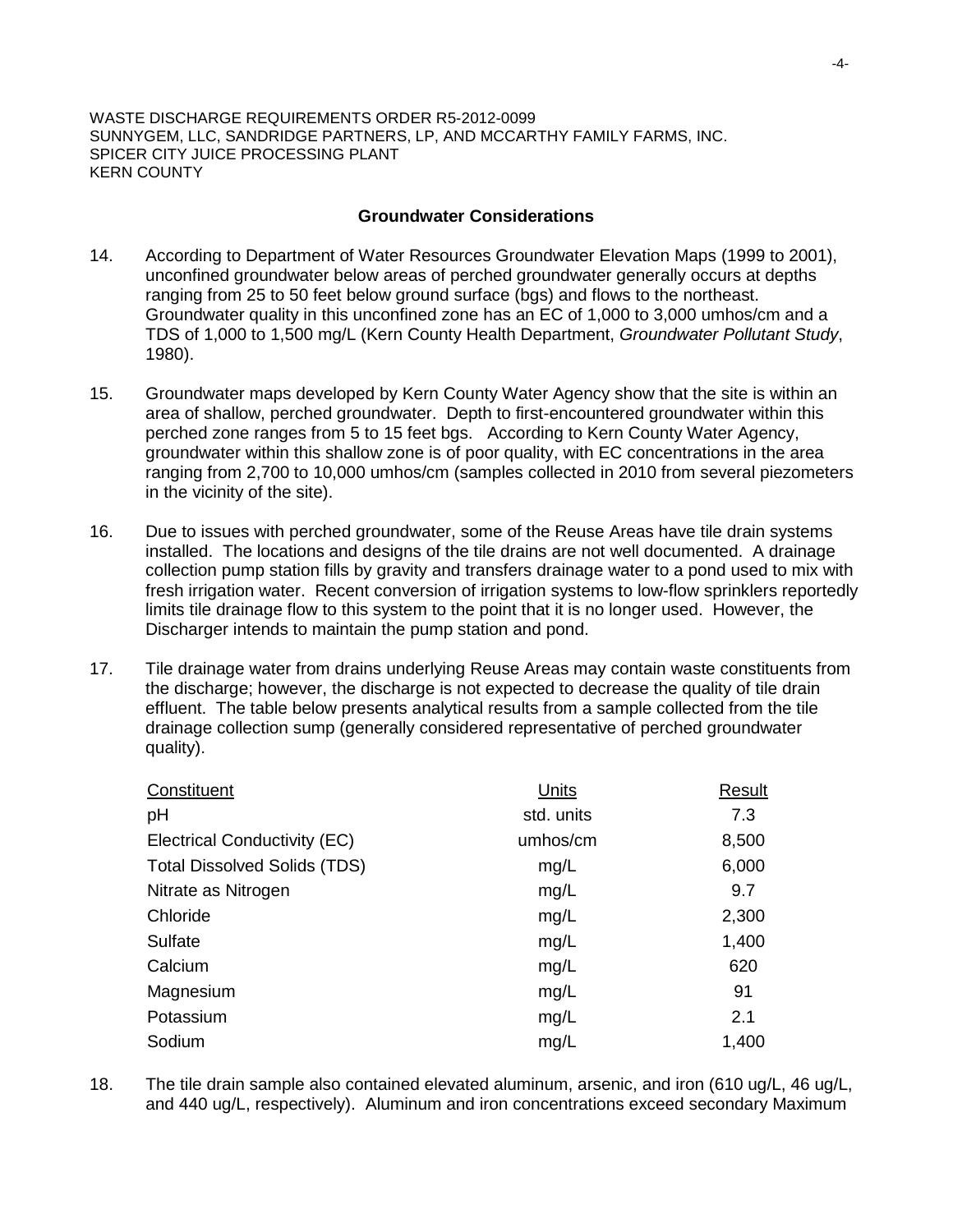### **Groundwater Considerations**

- 14. According to Department of Water Resources Groundwater Elevation Maps (1999 to 2001), unconfined groundwater below areas of perched groundwater generally occurs at depths ranging from 25 to 50 feet below ground surface (bgs) and flows to the northeast. Groundwater quality in this unconfined zone has an EC of 1,000 to 3,000 umhos/cm and a TDS of 1,000 to 1,500 mg/L (Kern County Health Department, *Groundwater Pollutant Study*, 1980).
- 15. Groundwater maps developed by Kern County Water Agency show that the site is within an area of shallow, perched groundwater. Depth to first-encountered groundwater within this perched zone ranges from 5 to 15 feet bgs. According to Kern County Water Agency, groundwater within this shallow zone is of poor quality, with EC concentrations in the area ranging from 2,700 to 10,000 umhos/cm (samples collected in 2010 from several piezometers in the vicinity of the site).
- 16. Due to issues with perched groundwater, some of the Reuse Areas have tile drain systems installed. The locations and designs of the tile drains are not well documented. A drainage collection pump station fills by gravity and transfers drainage water to a pond used to mix with fresh irrigation water. Recent conversion of irrigation systems to low-flow sprinklers reportedly limits tile drainage flow to this system to the point that it is no longer used. However, the Discharger intends to maintain the pump station and pond.
- 17. Tile drainage water from drains underlying Reuse Areas may contain waste constituents from the discharge; however, the discharge is not expected to decrease the quality of tile drain effluent. The table below presents analytical results from a sample collected from the tile drainage collection sump (generally considered representative of perched groundwater quality).

| Constituent                         | Units      | Result |
|-------------------------------------|------------|--------|
| pH                                  | std. units | 7.3    |
| Electrical Conductivity (EC)        | umhos/cm   | 8,500  |
| <b>Total Dissolved Solids (TDS)</b> | mg/L       | 6,000  |
| Nitrate as Nitrogen                 | mg/L       | 9.7    |
| Chloride                            | mg/L       | 2,300  |
| Sulfate                             | mg/L       | 1,400  |
| Calcium                             | mg/L       | 620    |
| Magnesium                           | mg/L       | 91     |
| Potassium                           | mg/L       | 2.1    |
| Sodium                              | mg/L       | 1,400  |

18. The tile drain sample also contained elevated aluminum, arsenic, and iron (610 ug/L, 46 ug/L, and 440 ug/L, respectively). Aluminum and iron concentrations exceed secondary Maximum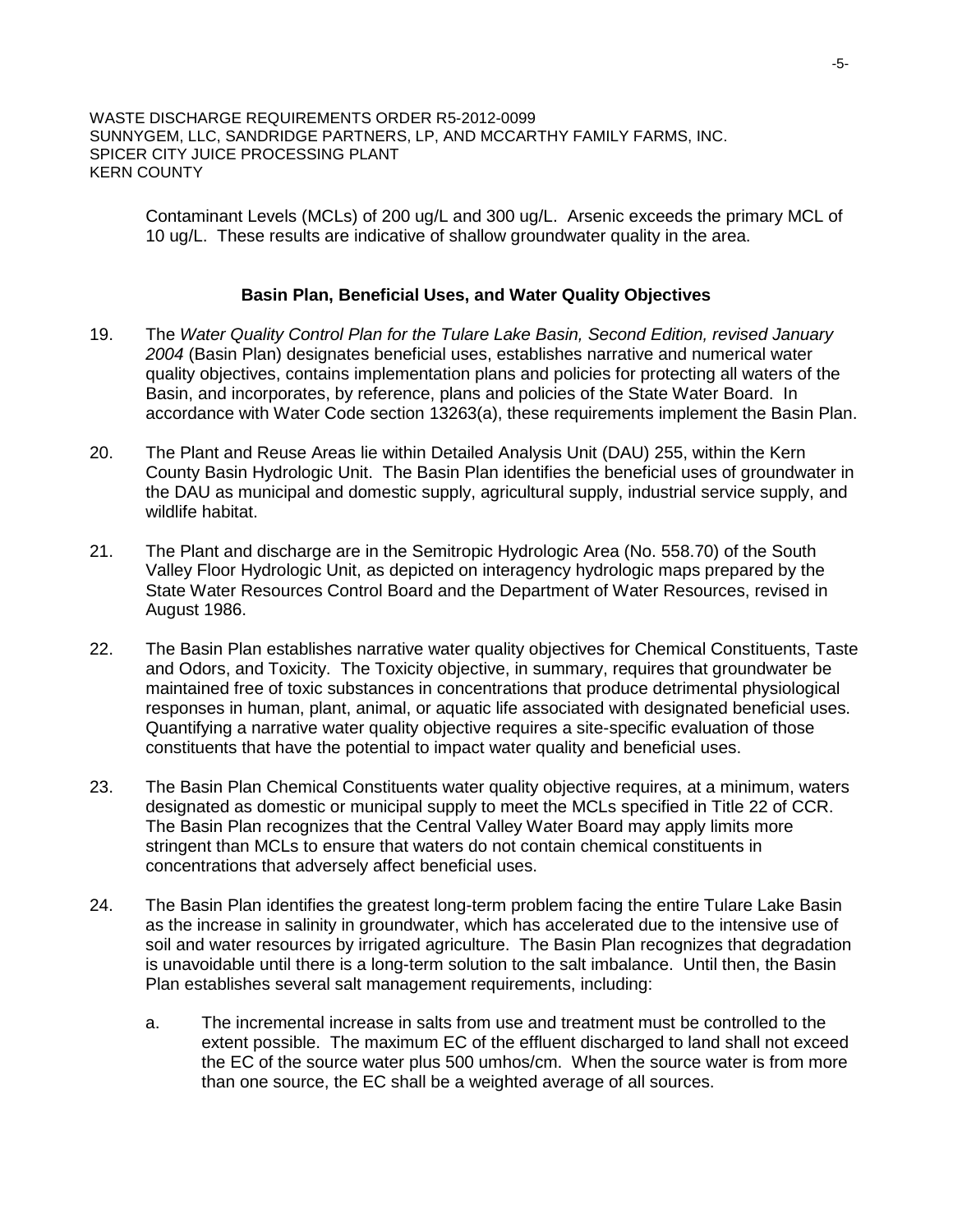Contaminant Levels (MCLs) of 200 ug/L and 300 ug/L. Arsenic exceeds the primary MCL of 10 ug/L. These results are indicative of shallow groundwater quality in the area.

### **Basin Plan, Beneficial Uses, and Water Quality Objectives**

- 19. The *Water Quality Control Plan for the Tulare Lake Basin, Second Edition, revised January 2004* (Basin Plan) designates beneficial uses, establishes narrative and numerical water quality objectives, contains implementation plans and policies for protecting all waters of the Basin, and incorporates, by reference, plans and policies of the State Water Board. In accordance with Water Code section 13263(a), these requirements implement the Basin Plan.
- 20. The Plant and Reuse Areas lie within Detailed Analysis Unit (DAU) 255, within the Kern County Basin Hydrologic Unit. The Basin Plan identifies the beneficial uses of groundwater in the DAU as municipal and domestic supply, agricultural supply, industrial service supply, and wildlife habitat.
- 21. The Plant and discharge are in the Semitropic Hydrologic Area (No. 558.70) of the South Valley Floor Hydrologic Unit, as depicted on interagency hydrologic maps prepared by the State Water Resources Control Board and the Department of Water Resources, revised in August 1986.
- 22. The Basin Plan establishes narrative water quality objectives for Chemical Constituents, Taste and Odors, and Toxicity. The Toxicity objective, in summary, requires that groundwater be maintained free of toxic substances in concentrations that produce detrimental physiological responses in human, plant, animal, or aquatic life associated with designated beneficial uses. Quantifying a narrative water quality objective requires a site-specific evaluation of those constituents that have the potential to impact water quality and beneficial uses.
- 23. The Basin Plan Chemical Constituents water quality objective requires, at a minimum, waters designated as domestic or municipal supply to meet the MCLs specified in Title 22 of CCR. The Basin Plan recognizes that the Central Valley Water Board may apply limits more stringent than MCLs to ensure that waters do not contain chemical constituents in concentrations that adversely affect beneficial uses.
- 24. The Basin Plan identifies the greatest long-term problem facing the entire Tulare Lake Basin as the increase in salinity in groundwater, which has accelerated due to the intensive use of soil and water resources by irrigated agriculture. The Basin Plan recognizes that degradation is unavoidable until there is a long-term solution to the salt imbalance. Until then, the Basin Plan establishes several salt management requirements, including:
	- a. The incremental increase in salts from use and treatment must be controlled to the extent possible. The maximum EC of the effluent discharged to land shall not exceed the EC of the source water plus 500 umhos/cm. When the source water is from more than one source, the EC shall be a weighted average of all sources.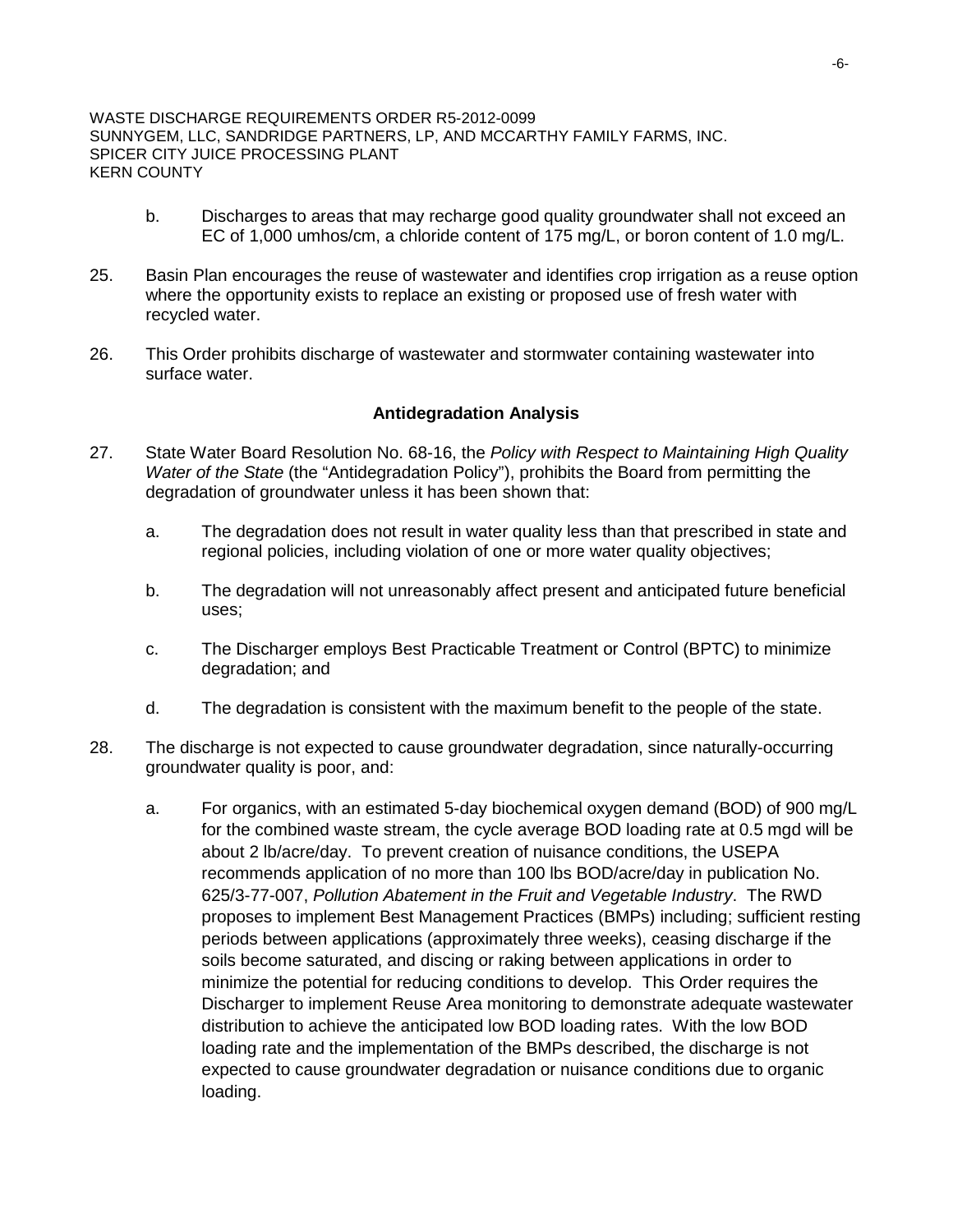- b. Discharges to areas that may recharge good quality groundwater shall not exceed an EC of 1,000 umhos/cm, a chloride content of 175 mg/L, or boron content of 1.0 mg/L.
- 25. Basin Plan encourages the reuse of wastewater and identifies crop irrigation as a reuse option where the opportunity exists to replace an existing or proposed use of fresh water with recycled water.
- 26. This Order prohibits discharge of wastewater and stormwater containing wastewater into surface water.

## **Antidegradation Analysis**

- 27. State Water Board Resolution No. 68-16, the *Policy with Respect to Maintaining High Quality Water of the State* (the "Antidegradation Policy"), prohibits the Board from permitting the degradation of groundwater unless it has been shown that:
	- a. The degradation does not result in water quality less than that prescribed in state and regional policies, including violation of one or more water quality objectives;
	- b. The degradation will not unreasonably affect present and anticipated future beneficial uses;
	- c. The Discharger employs Best Practicable Treatment or Control (BPTC) to minimize degradation; and
	- d. The degradation is consistent with the maximum benefit to the people of the state.
- 28. The discharge is not expected to cause groundwater degradation, since naturally-occurring groundwater quality is poor, and:
	- a. For organics, with an estimated 5-day biochemical oxygen demand (BOD) of 900 mg/L for the combined waste stream, the cycle average BOD loading rate at 0.5 mgd will be about 2 lb/acre/day. To prevent creation of nuisance conditions, the USEPA recommends application of no more than 100 lbs BOD/acre/day in publication No. 625/3-77-007, *Pollution Abatement in the Fruit and Vegetable Industry*. The RWD proposes to implement Best Management Practices (BMPs) including; sufficient resting periods between applications (approximately three weeks), ceasing discharge if the soils become saturated, and discing or raking between applications in order to minimize the potential for reducing conditions to develop. This Order requires the Discharger to implement Reuse Area monitoring to demonstrate adequate wastewater distribution to achieve the anticipated low BOD loading rates. With the low BOD loading rate and the implementation of the BMPs described, the discharge is not expected to cause groundwater degradation or nuisance conditions due to organic loading.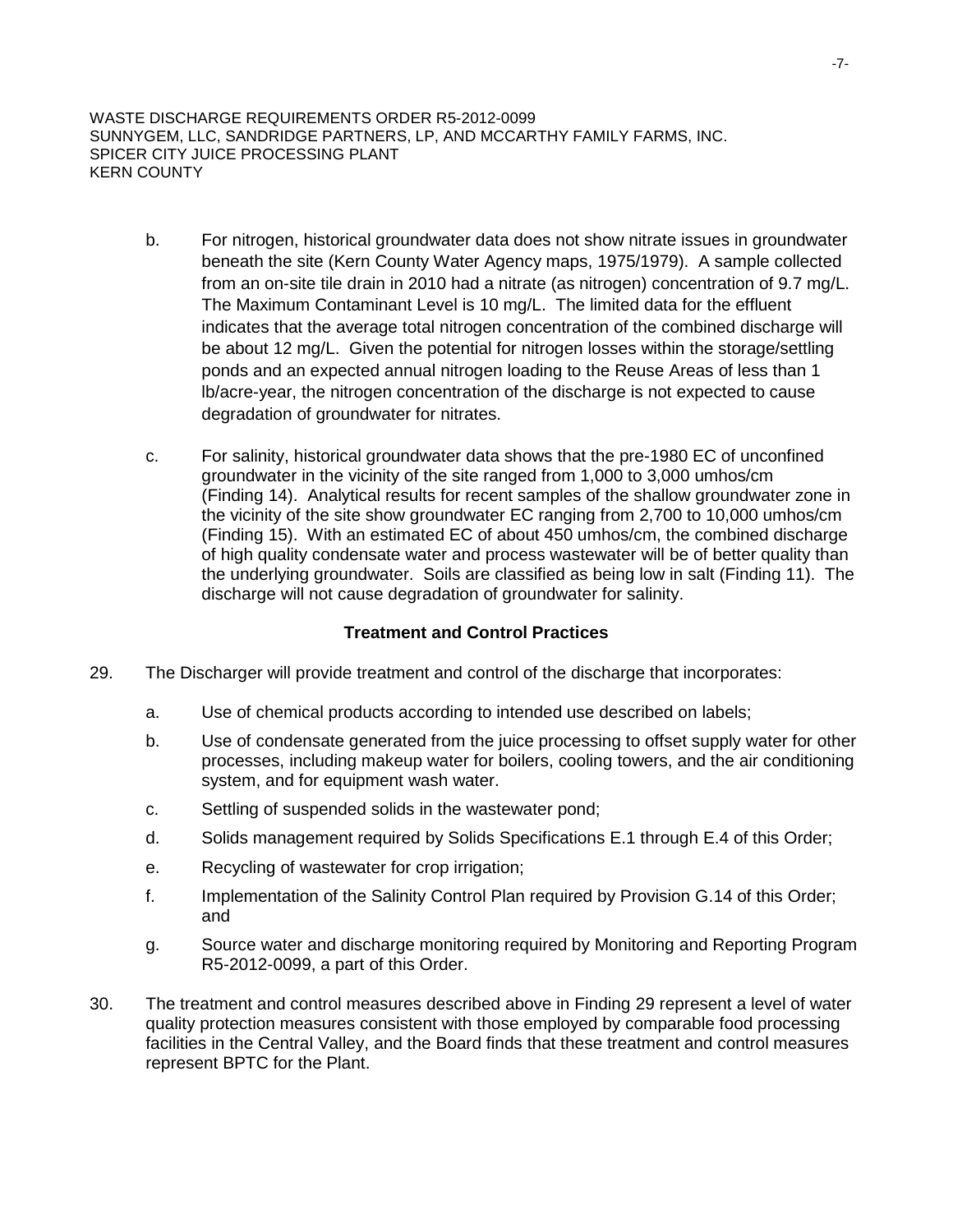- b. For nitrogen, historical groundwater data does not show nitrate issues in groundwater beneath the site (Kern County Water Agency maps, 1975/1979). A sample collected from an on-site tile drain in 2010 had a nitrate (as nitrogen) concentration of 9.7 mg/L. The Maximum Contaminant Level is 10 mg/L. The limited data for the effluent indicates that the average total nitrogen concentration of the combined discharge will be about 12 mg/L. Given the potential for nitrogen losses within the storage/settling ponds and an expected annual nitrogen loading to the Reuse Areas of less than 1 lb/acre-year, the nitrogen concentration of the discharge is not expected to cause degradation of groundwater for nitrates.
- c. For salinity, historical groundwater data shows that the pre-1980 EC of unconfined groundwater in the vicinity of the site ranged from 1,000 to 3,000 umhos/cm (Finding 14). Analytical results for recent samples of the shallow groundwater zone in the vicinity of the site show groundwater EC ranging from 2,700 to 10,000 umhos/cm (Finding 15). With an estimated EC of about 450 umhos/cm, the combined discharge of high quality condensate water and process wastewater will be of better quality than the underlying groundwater. Soils are classified as being low in salt (Finding 11). The discharge will not cause degradation of groundwater for salinity.

## **Treatment and Control Practices**

- 29. The Discharger will provide treatment and control of the discharge that incorporates:
	- a. Use of chemical products according to intended use described on labels;
	- b. Use of condensate generated from the juice processing to offset supply water for other processes, including makeup water for boilers, cooling towers, and the air conditioning system, and for equipment wash water.
	- c. Settling of suspended solids in the wastewater pond;
	- d. Solids management required by Solids Specifications E.1 through E.4 of this Order;
	- e. Recycling of wastewater for crop irrigation;
	- f. Implementation of the Salinity Control Plan required by Provision G.14 of this Order; and
	- g. Source water and discharge monitoring required by Monitoring and Reporting Program R5-2012-0099, a part of this Order.
- 30. The treatment and control measures described above in Finding 29 represent a level of water quality protection measures consistent with those employed by comparable food processing facilities in the Central Valley, and the Board finds that these treatment and control measures represent BPTC for the Plant.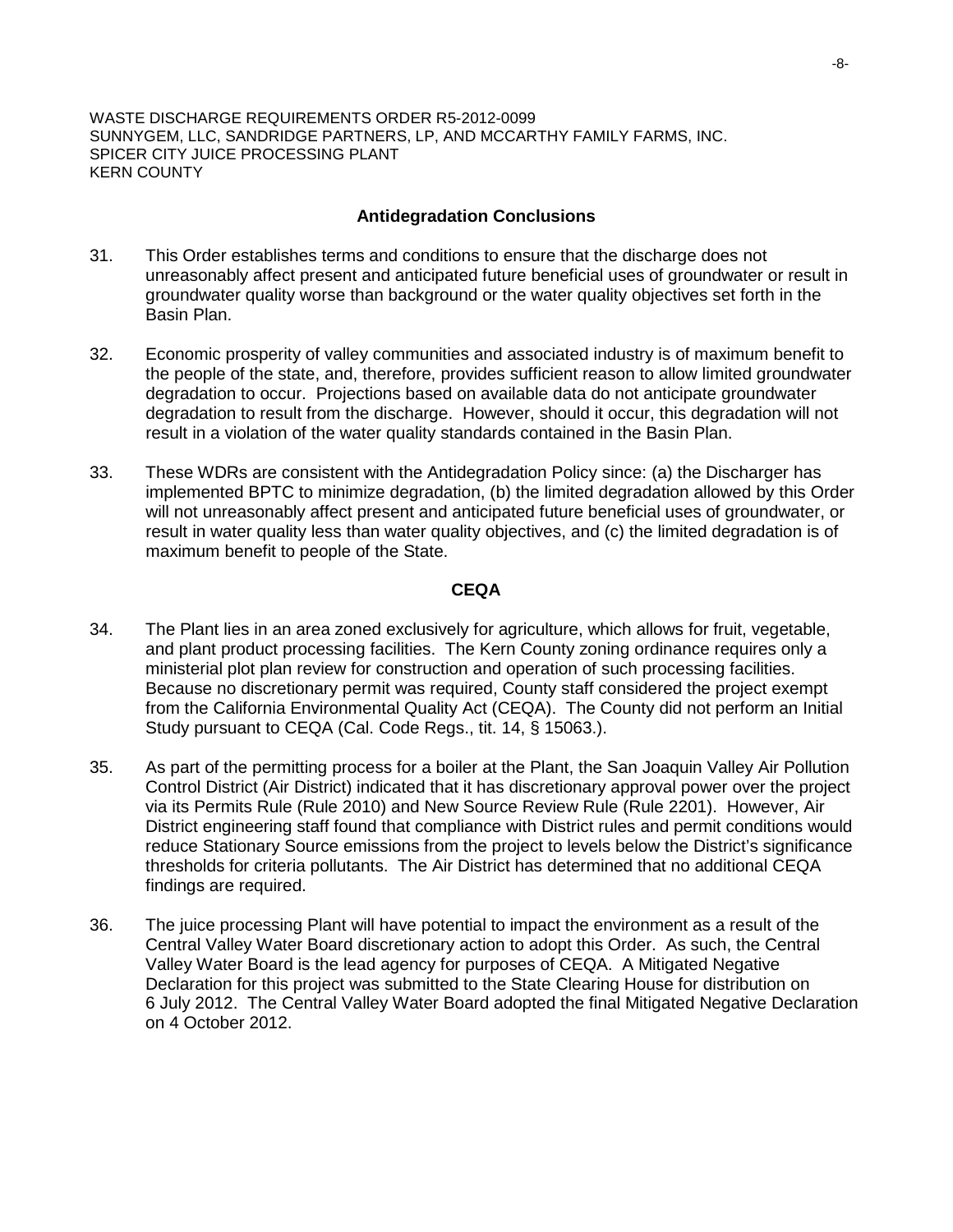### **Antidegradation Conclusions**

- 31. This Order establishes terms and conditions to ensure that the discharge does not unreasonably affect present and anticipated future beneficial uses of groundwater or result in groundwater quality worse than background or the water quality objectives set forth in the Basin Plan.
- 32. Economic prosperity of valley communities and associated industry is of maximum benefit to the people of the state, and, therefore, provides sufficient reason to allow limited groundwater degradation to occur. Projections based on available data do not anticipate groundwater degradation to result from the discharge. However, should it occur, this degradation will not result in a violation of the water quality standards contained in the Basin Plan.
- 33. These WDRs are consistent with the Antidegradation Policy since: (a) the Discharger has implemented BPTC to minimize degradation, (b) the limited degradation allowed by this Order will not unreasonably affect present and anticipated future beneficial uses of groundwater, or result in water quality less than water quality objectives, and (c) the limited degradation is of maximum benefit to people of the State.

## **CEQA**

- 34. The Plant lies in an area zoned exclusively for agriculture, which allows for fruit, vegetable, and plant product processing facilities. The Kern County zoning ordinance requires only a ministerial plot plan review for construction and operation of such processing facilities. Because no discretionary permit was required, County staff considered the project exempt from the California Environmental Quality Act (CEQA). The County did not perform an Initial Study pursuant to CEQA (Cal. Code Regs., tit. 14, § 15063.).
- 35. As part of the permitting process for a boiler at the Plant, the San Joaquin Valley Air Pollution Control District (Air District) indicated that it has discretionary approval power over the project via its Permits Rule (Rule 2010) and New Source Review Rule (Rule 2201). However, Air District engineering staff found that compliance with District rules and permit conditions would reduce Stationary Source emissions from the project to levels below the District's significance thresholds for criteria pollutants. The Air District has determined that no additional CEQA findings are required.
- 36. The juice processing Plant will have potential to impact the environment as a result of the Central Valley Water Board discretionary action to adopt this Order. As such, the Central Valley Water Board is the lead agency for purposes of CEQA. A Mitigated Negative Declaration for this project was submitted to the State Clearing House for distribution on 6 July 2012. The Central Valley Water Board adopted the final Mitigated Negative Declaration on 4 October 2012.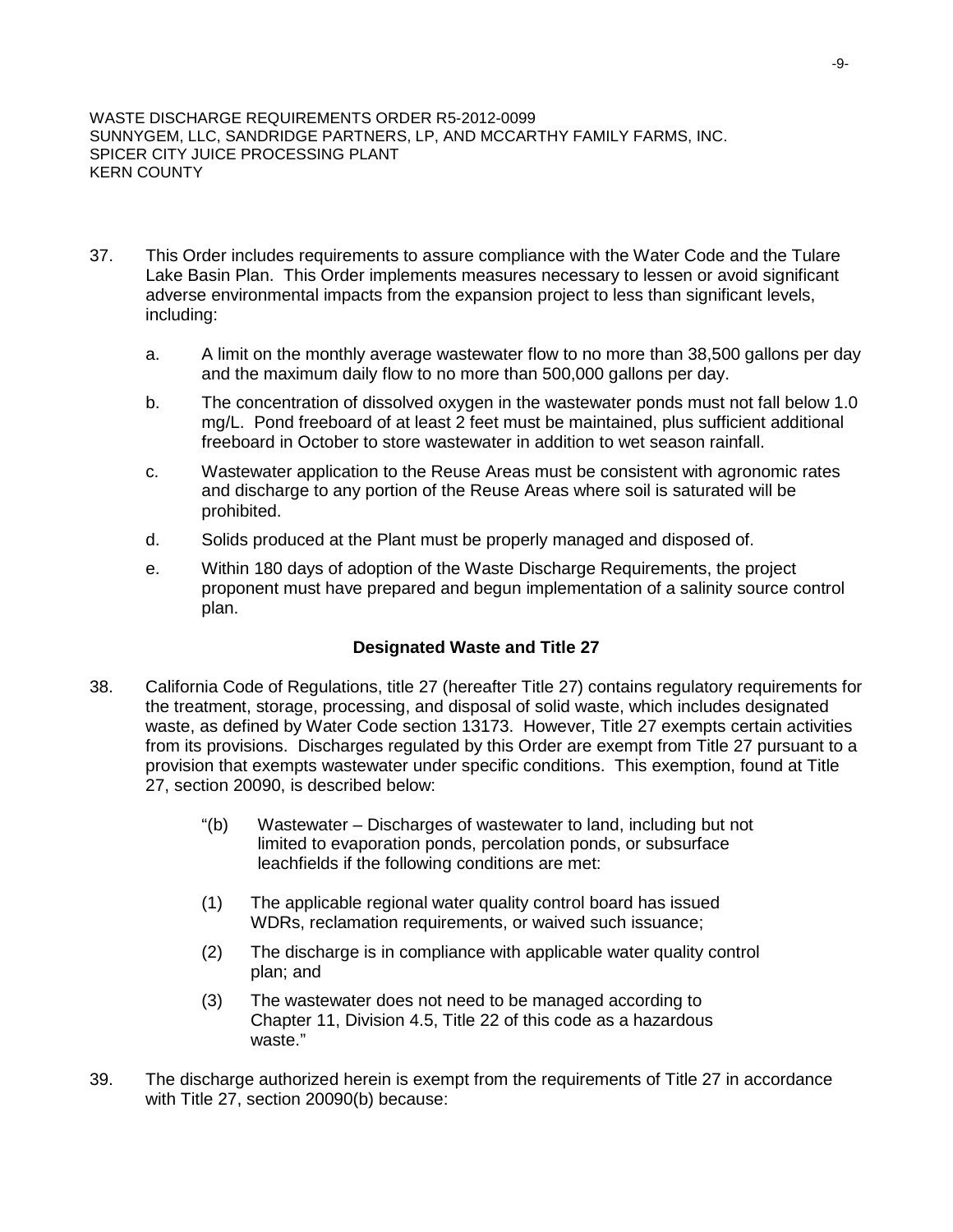- 37. This Order includes requirements to assure compliance with the Water Code and the Tulare Lake Basin Plan. This Order implements measures necessary to lessen or avoid significant adverse environmental impacts from the expansion project to less than significant levels, including:
	- a. A limit on the monthly average wastewater flow to no more than 38,500 gallons per day and the maximum daily flow to no more than 500,000 gallons per day.
	- b. The concentration of dissolved oxygen in the wastewater ponds must not fall below 1.0 mg/L. Pond freeboard of at least 2 feet must be maintained, plus sufficient additional freeboard in October to store wastewater in addition to wet season rainfall.
	- c. Wastewater application to the Reuse Areas must be consistent with agronomic rates and discharge to any portion of the Reuse Areas where soil is saturated will be prohibited.
	- d. Solids produced at the Plant must be properly managed and disposed of.
	- e. Within 180 days of adoption of the Waste Discharge Requirements, the project proponent must have prepared and begun implementation of a salinity source control plan.

## **Designated Waste and Title 27**

- 38. California Code of Regulations, title 27 (hereafter Title 27) contains regulatory requirements for the treatment, storage, processing, and disposal of solid waste, which includes designated waste, as defined by Water Code section 13173. However, Title 27 exempts certain activities from its provisions. Discharges regulated by this Order are exempt from Title 27 pursuant to a provision that exempts wastewater under specific conditions. This exemption, found at Title 27, section 20090, is described below:
	- "(b) Wastewater Discharges of wastewater to land, including but not limited to evaporation ponds, percolation ponds, or subsurface leachfields if the following conditions are met:
	- (1) The applicable regional water quality control board has issued WDRs, reclamation requirements, or waived such issuance;
	- (2) The discharge is in compliance with applicable water quality control plan; and
	- (3) The wastewater does not need to be managed according to Chapter 11, Division 4.5, Title 22 of this code as a hazardous waste."
- 39. The discharge authorized herein is exempt from the requirements of Title 27 in accordance with Title 27, section 20090(b) because: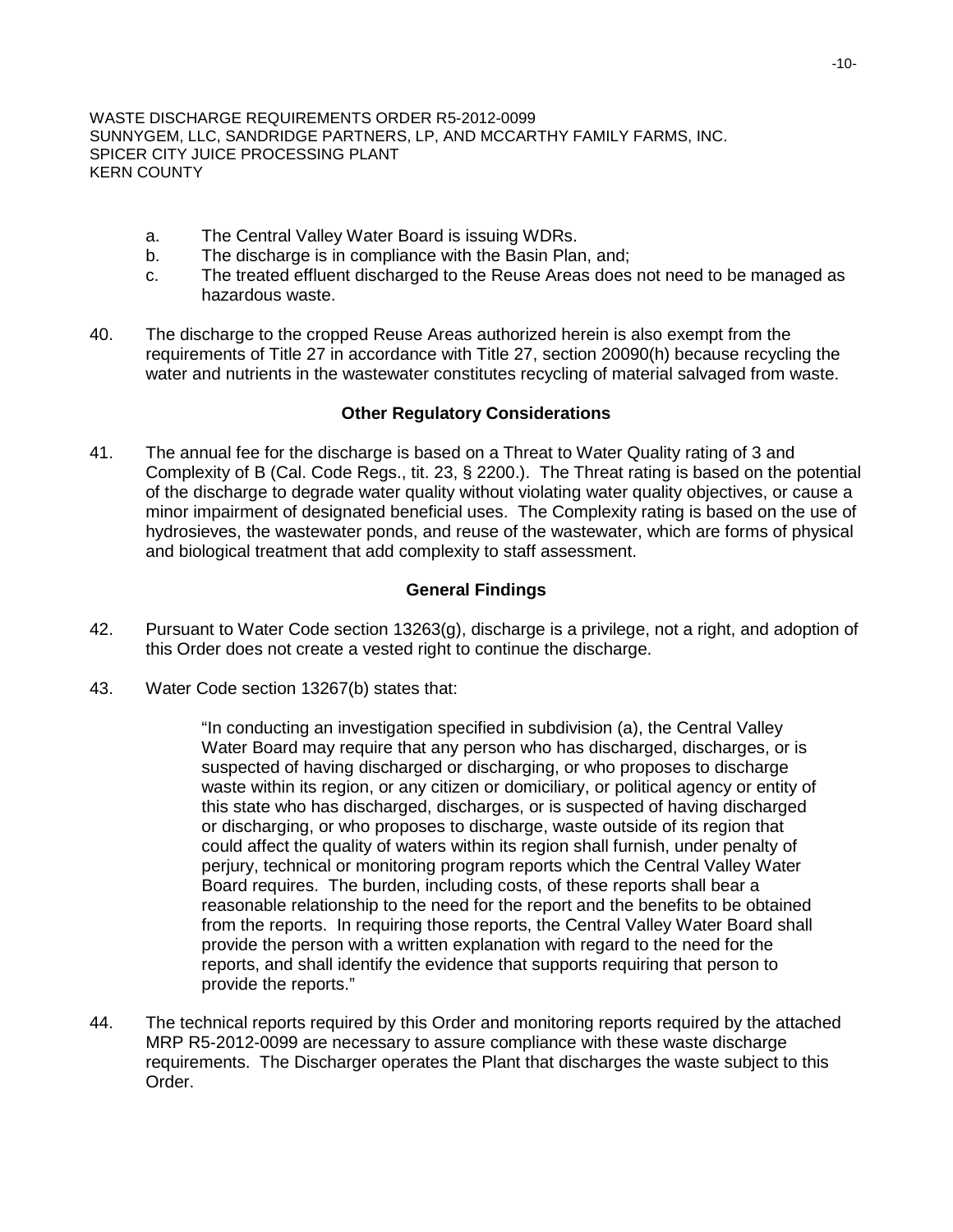- a. The Central Valley Water Board is issuing WDRs.
- The discharge is in compliance with the Basin Plan, and;
- c. The treated effluent discharged to the Reuse Areas does not need to be managed as hazardous waste.
- 40. The discharge to the cropped Reuse Areas authorized herein is also exempt from the requirements of Title 27 in accordance with Title 27, section 20090(h) because recycling the water and nutrients in the wastewater constitutes recycling of material salvaged from waste.

### **Other Regulatory Considerations**

41. The annual fee for the discharge is based on a Threat to Water Quality rating of 3 and Complexity of B (Cal. Code Regs., tit. 23, § 2200.). The Threat rating is based on the potential of the discharge to degrade water quality without violating water quality objectives, or cause a minor impairment of designated beneficial uses. The Complexity rating is based on the use of hydrosieves, the wastewater ponds, and reuse of the wastewater, which are forms of physical and biological treatment that add complexity to staff assessment.

## **General Findings**

- 42. Pursuant to Water Code section 13263(g), discharge is a privilege, not a right, and adoption of this Order does not create a vested right to continue the discharge.
- 43. Water Code section 13267(b) states that:

"In conducting an investigation specified in subdivision (a), the Central Valley Water Board may require that any person who has discharged, discharges, or is suspected of having discharged or discharging, or who proposes to discharge waste within its region, or any citizen or domiciliary, or political agency or entity of this state who has discharged, discharges, or is suspected of having discharged or discharging, or who proposes to discharge, waste outside of its region that could affect the quality of waters within its region shall furnish, under penalty of perjury, technical or monitoring program reports which the Central Valley Water Board requires. The burden, including costs, of these reports shall bear a reasonable relationship to the need for the report and the benefits to be obtained from the reports. In requiring those reports, the Central Valley Water Board shall provide the person with a written explanation with regard to the need for the reports, and shall identify the evidence that supports requiring that person to provide the reports."

44. The technical reports required by this Order and monitoring reports required by the attached MRP R5-2012-0099 are necessary to assure compliance with these waste discharge requirements. The Discharger operates the Plant that discharges the waste subject to this Order.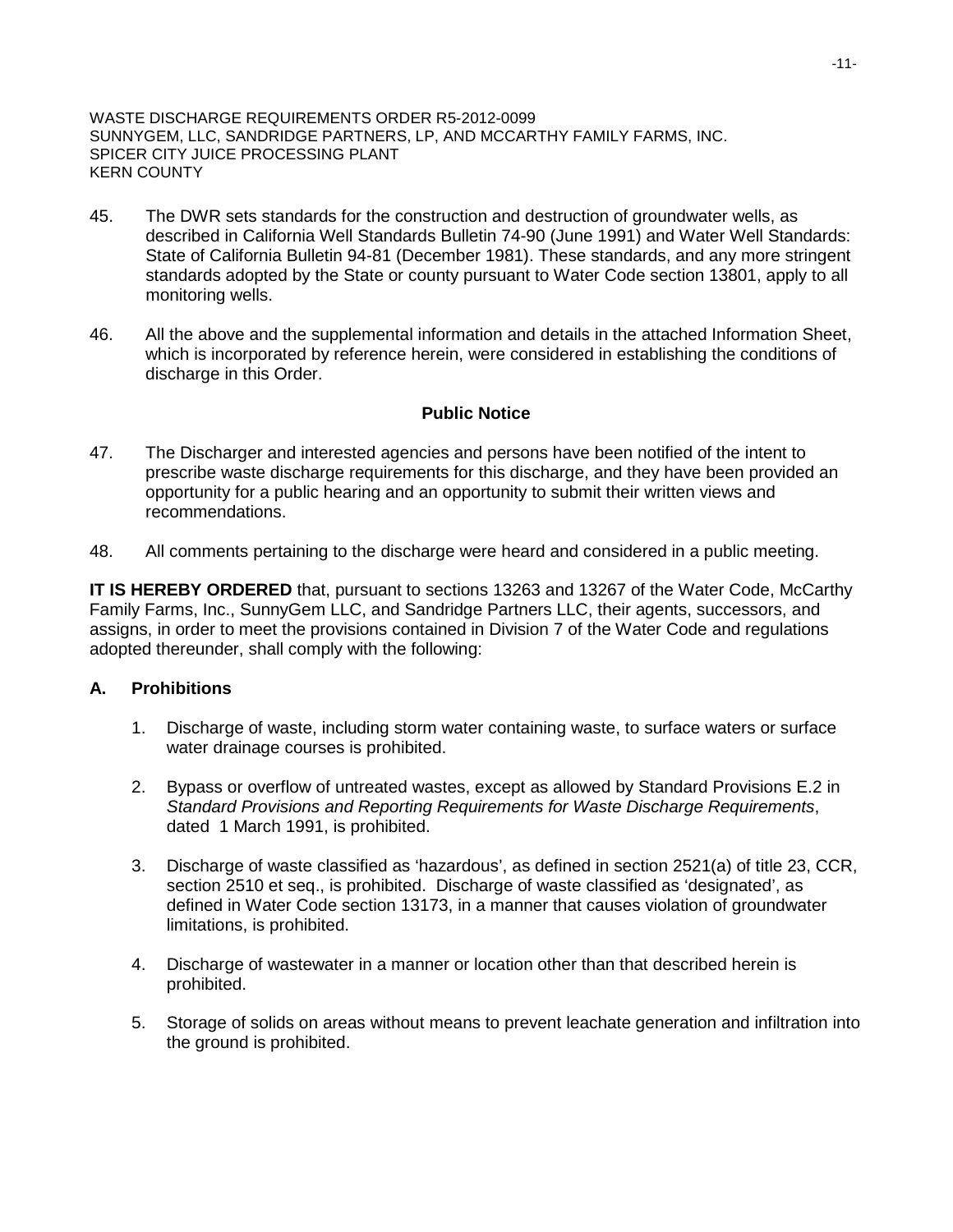- 45. The DWR sets standards for the construction and destruction of groundwater wells, as described in California Well Standards Bulletin 74-90 (June 1991) and Water Well Standards: State of California Bulletin 94-81 (December 1981). These standards, and any more stringent standards adopted by the State or county pursuant to Water Code section 13801, apply to all monitoring wells.
- 46. All the above and the supplemental information and details in the attached Information Sheet, which is incorporated by reference herein, were considered in establishing the conditions of discharge in this Order.

## **Public Notice**

- 47. The Discharger and interested agencies and persons have been notified of the intent to prescribe waste discharge requirements for this discharge, and they have been provided an opportunity for a public hearing and an opportunity to submit their written views and recommendations.
- 48. All comments pertaining to the discharge were heard and considered in a public meeting.

**IT IS HEREBY ORDERED** that, pursuant to sections 13263 and 13267 of the Water Code, McCarthy Family Farms, Inc., SunnyGem LLC, and Sandridge Partners LLC, their agents, successors, and assigns, in order to meet the provisions contained in Division 7 of the Water Code and regulations adopted thereunder, shall comply with the following:

## **A. Prohibitions**

- 1. Discharge of waste, including storm water containing waste, to surface waters or surface water drainage courses is prohibited.
- 2. Bypass or overflow of untreated wastes, except as allowed by Standard Provisions E.2 in *Standard Provisions and Reporting Requirements for Waste Discharge Requirements*, dated 1 March 1991, is prohibited.
- 3. Discharge of waste classified as 'hazardous', as defined in section 2521(a) of title 23, CCR, section 2510 et seq., is prohibited. Discharge of waste classified as 'designated', as defined in Water Code section 13173, in a manner that causes violation of groundwater limitations, is prohibited.
- 4. Discharge of wastewater in a manner or location other than that described herein is prohibited.
- 5. Storage of solids on areas without means to prevent leachate generation and infiltration into the ground is prohibited.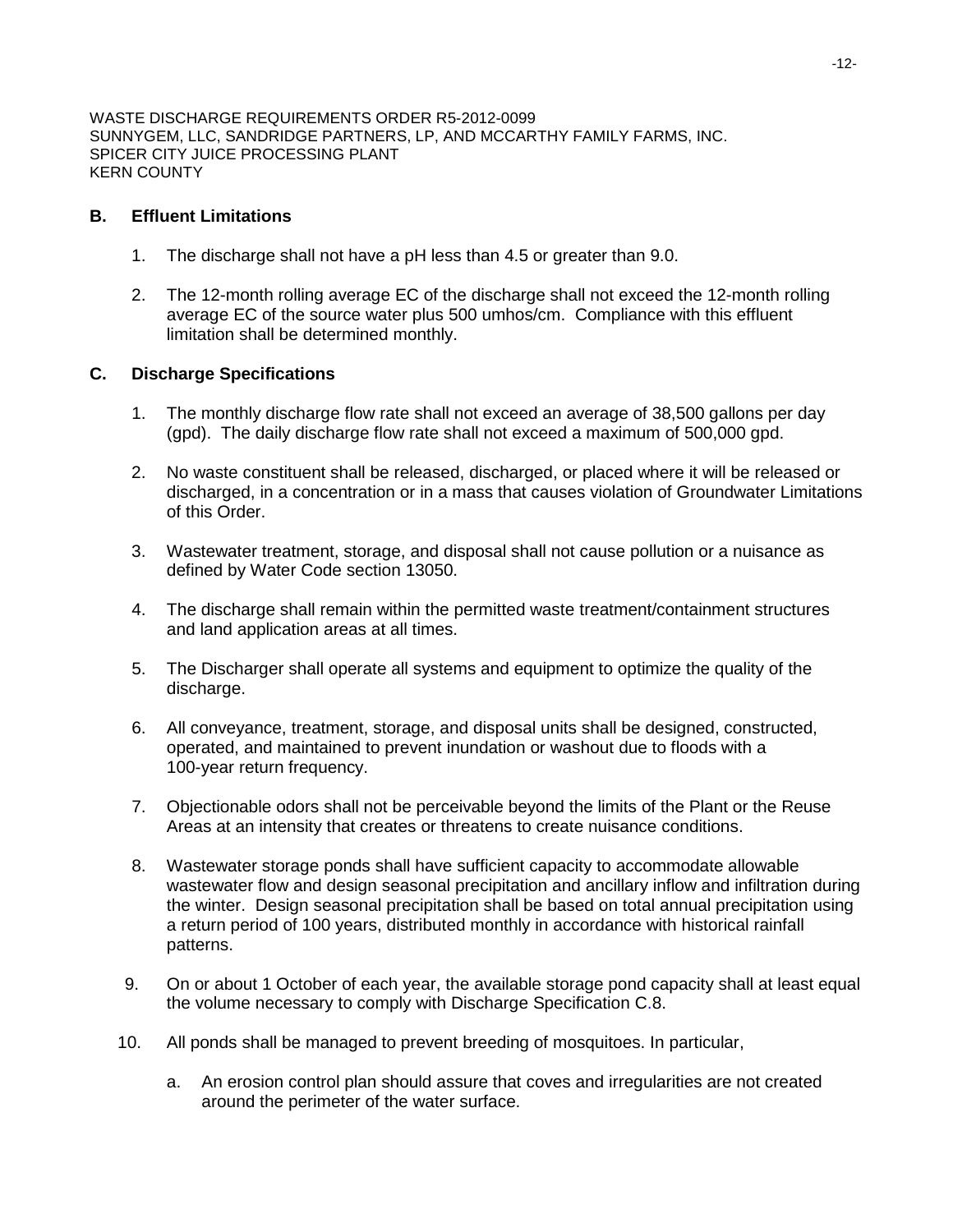## **B. Effluent Limitations**

- 1. The discharge shall not have a pH less than 4.5 or greater than 9.0.
- 2. The 12-month rolling average EC of the discharge shall not exceed the 12-month rolling average EC of the source water plus 500 umhos/cm. Compliance with this effluent limitation shall be determined monthly.

### **C. Discharge Specifications**

- 1. The monthly discharge flow rate shall not exceed an average of 38,500 gallons per day (gpd). The daily discharge flow rate shall not exceed a maximum of 500,000 gpd.
- 2. No waste constituent shall be released, discharged, or placed where it will be released or discharged, in a concentration or in a mass that causes violation of Groundwater Limitations of this Order.
- 3. Wastewater treatment, storage, and disposal shall not cause pollution or a nuisance as defined by Water Code section 13050.
- 4. The discharge shall remain within the permitted waste treatment/containment structures and land application areas at all times.
- 5. The Discharger shall operate all systems and equipment to optimize the quality of the discharge.
- 6. All conveyance, treatment, storage, and disposal units shall be designed, constructed, operated, and maintained to prevent inundation or washout due to floods with a 100-year return frequency.
- 7. Objectionable odors shall not be perceivable beyond the limits of the Plant or the Reuse Areas at an intensity that creates or threatens to create nuisance conditions.
- 8. Wastewater storage ponds shall have sufficient capacity to accommodate allowable wastewater flow and design seasonal precipitation and ancillary inflow and infiltration during the winter. Design seasonal precipitation shall be based on total annual precipitation using a return period of 100 years, distributed monthly in accordance with historical rainfall patterns.
- 9. On or about 1 October of each year, the available storage pond capacity shall at least equal the volume necessary to comply with Discharge Specification C.8.
- 10. All ponds shall be managed to prevent breeding of mosquitoes. In particular,
	- a. An erosion control plan should assure that coves and irregularities are not created around the perimeter of the water surface.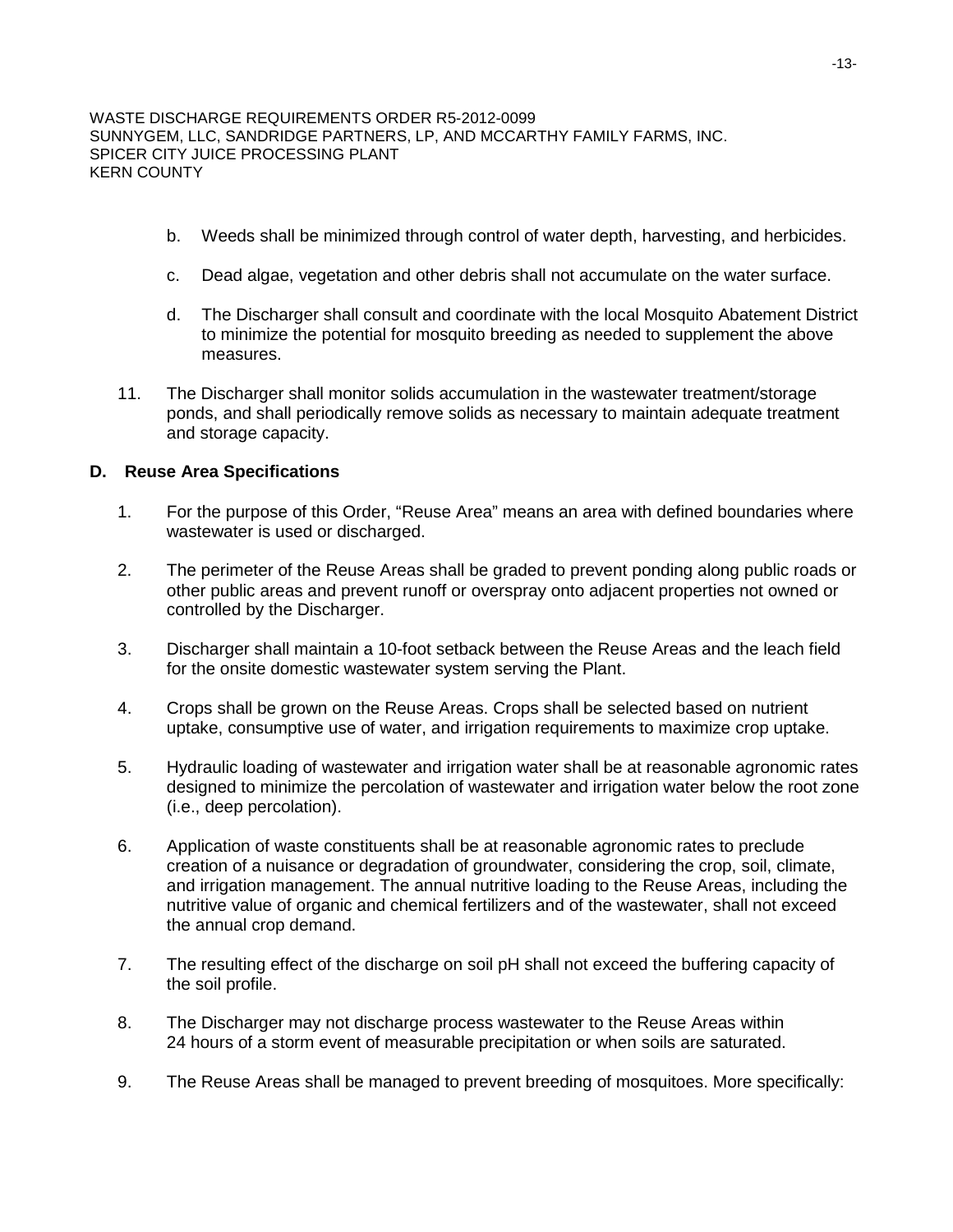- b. Weeds shall be minimized through control of water depth, harvesting, and herbicides.
- c. Dead algae, vegetation and other debris shall not accumulate on the water surface.
- d. The Discharger shall consult and coordinate with the local Mosquito Abatement District to minimize the potential for mosquito breeding as needed to supplement the above measures.
- 11. The Discharger shall monitor solids accumulation in the wastewater treatment/storage ponds, and shall periodically remove solids as necessary to maintain adequate treatment and storage capacity.

## **D. Reuse Area Specifications**

- 1. For the purpose of this Order, "Reuse Area" means an area with defined boundaries where wastewater is used or discharged.
- 2. The perimeter of the Reuse Areas shall be graded to prevent ponding along public roads or other public areas and prevent runoff or overspray onto adjacent properties not owned or controlled by the Discharger.
- 3. Discharger shall maintain a 10-foot setback between the Reuse Areas and the leach field for the onsite domestic wastewater system serving the Plant.
- 4. Crops shall be grown on the Reuse Areas. Crops shall be selected based on nutrient uptake, consumptive use of water, and irrigation requirements to maximize crop uptake.
- 5. Hydraulic loading of wastewater and irrigation water shall be at reasonable agronomic rates designed to minimize the percolation of wastewater and irrigation water below the root zone (i.e., deep percolation).
- 6. Application of waste constituents shall be at reasonable agronomic rates to preclude creation of a nuisance or degradation of groundwater, considering the crop, soil, climate, and irrigation management. The annual nutritive loading to the Reuse Areas, including the nutritive value of organic and chemical fertilizers and of the wastewater, shall not exceed the annual crop demand.
- 7. The resulting effect of the discharge on soil pH shall not exceed the buffering capacity of the soil profile.
- 8. The Discharger may not discharge process wastewater to the Reuse Areas within 24 hours of a storm event of measurable precipitation or when soils are saturated.
- 9. The Reuse Areas shall be managed to prevent breeding of mosquitoes. More specifically: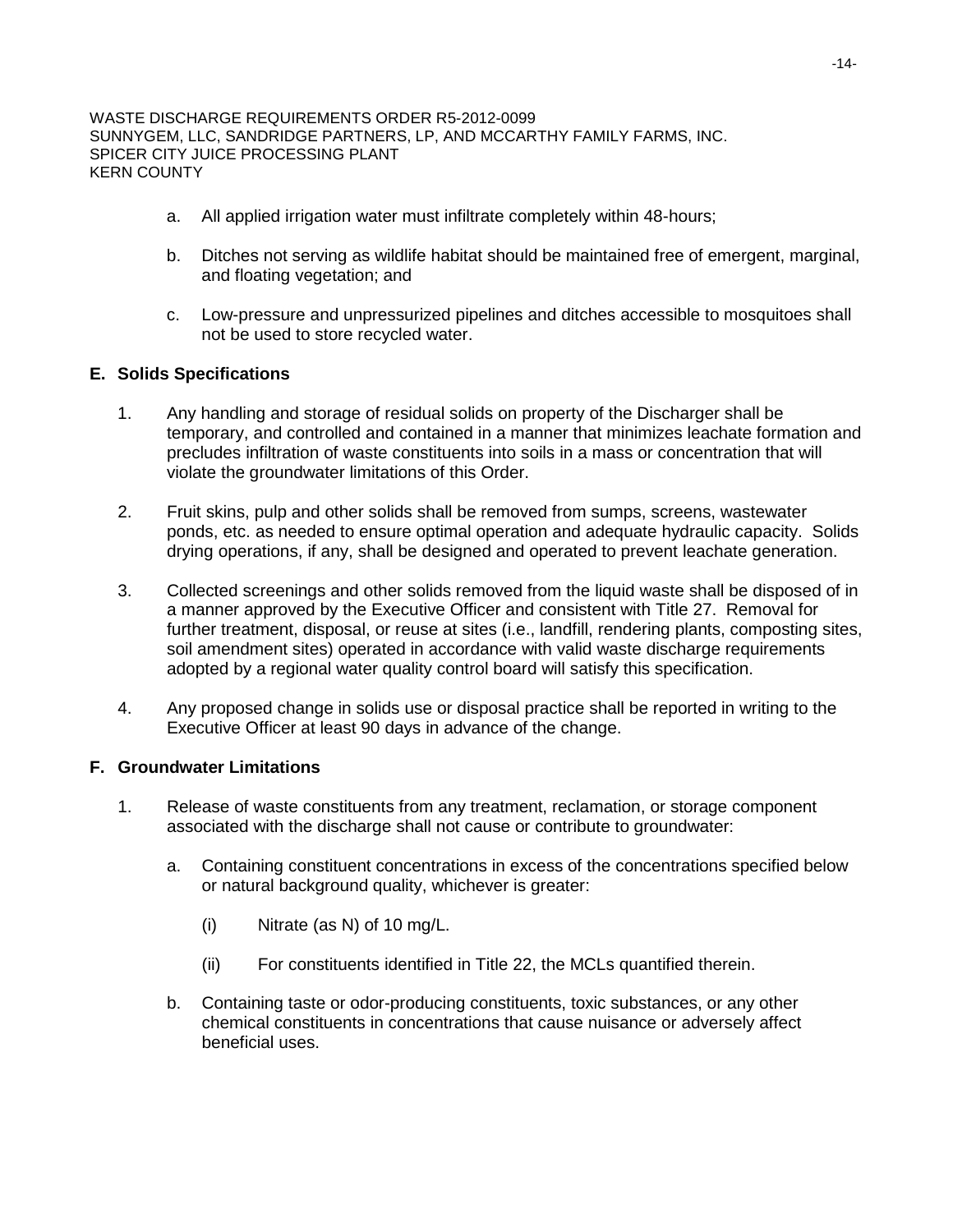- a. All applied irrigation water must infiltrate completely within 48-hours;
- b. Ditches not serving as wildlife habitat should be maintained free of emergent, marginal, and floating vegetation; and
- c. Low-pressure and unpressurized pipelines and ditches accessible to mosquitoes shall not be used to store recycled water.

## **E. Solids Specifications**

- 1. Any handling and storage of residual solids on property of the Discharger shall be temporary, and controlled and contained in a manner that minimizes leachate formation and precludes infiltration of waste constituents into soils in a mass or concentration that will violate the groundwater limitations of this Order.
- 2. Fruit skins, pulp and other solids shall be removed from sumps, screens, wastewater ponds, etc. as needed to ensure optimal operation and adequate hydraulic capacity. Solids drying operations, if any, shall be designed and operated to prevent leachate generation.
- 3. Collected screenings and other solids removed from the liquid waste shall be disposed of in a manner approved by the Executive Officer and consistent with Title 27. Removal for further treatment, disposal, or reuse at sites (i.e., landfill, rendering plants, composting sites, soil amendment sites) operated in accordance with valid waste discharge requirements adopted by a regional water quality control board will satisfy this specification.
- 4. Any proposed change in solids use or disposal practice shall be reported in writing to the Executive Officer at least 90 days in advance of the change.

## **F. Groundwater Limitations**

- 1. Release of waste constituents from any treatment, reclamation, or storage component associated with the discharge shall not cause or contribute to groundwater:
	- a. Containing constituent concentrations in excess of the concentrations specified below or natural background quality, whichever is greater:
		- (i) Nitrate (as N) of 10 mg/L.
		- (ii) For constituents identified in Title 22, the MCLs quantified therein.
	- b. Containing taste or odor-producing constituents, toxic substances, or any other chemical constituents in concentrations that cause nuisance or adversely affect beneficial uses.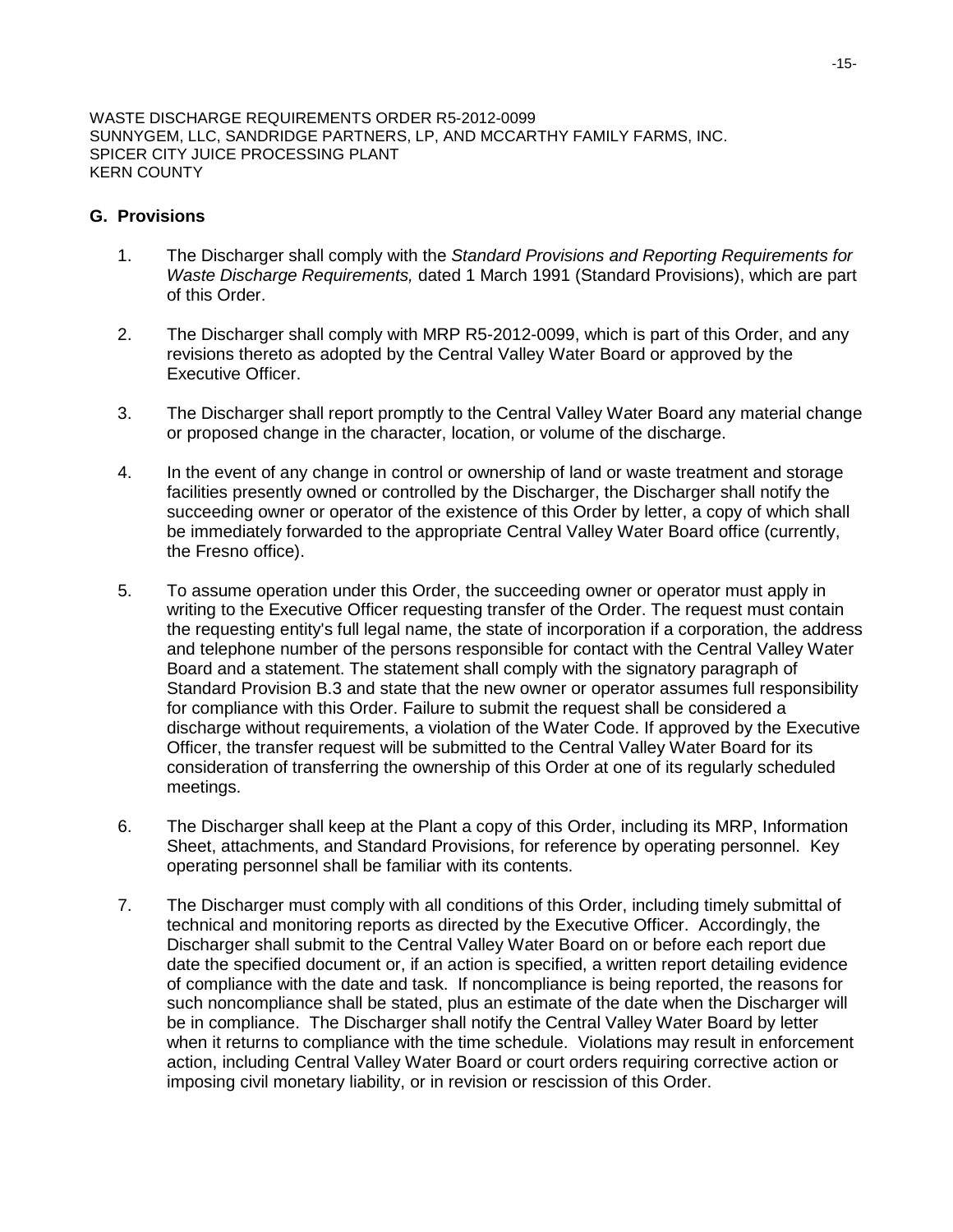### **G. Provisions**

- 1. The Discharger shall comply with the *Standard Provisions and Reporting Requirements for Waste Discharge Requirements,* dated 1 March 1991 (Standard Provisions), which are part of this Order.
- 2. The Discharger shall comply with MRP R5-2012-0099, which is part of this Order, and any revisions thereto as adopted by the Central Valley Water Board or approved by the Executive Officer.
- 3. The Discharger shall report promptly to the Central Valley Water Board any material change or proposed change in the character, location, or volume of the discharge.
- 4. In the event of any change in control or ownership of land or waste treatment and storage facilities presently owned or controlled by the Discharger, the Discharger shall notify the succeeding owner or operator of the existence of this Order by letter, a copy of which shall be immediately forwarded to the appropriate Central Valley Water Board office (currently, the Fresno office).
- 5. To assume operation under this Order, the succeeding owner or operator must apply in writing to the Executive Officer requesting transfer of the Order. The request must contain the requesting entity's full legal name, the state of incorporation if a corporation, the address and telephone number of the persons responsible for contact with the Central Valley Water Board and a statement. The statement shall comply with the signatory paragraph of Standard Provision B.3 and state that the new owner or operator assumes full responsibility for compliance with this Order. Failure to submit the request shall be considered a discharge without requirements, a violation of the Water Code. If approved by the Executive Officer, the transfer request will be submitted to the Central Valley Water Board for its consideration of transferring the ownership of this Order at one of its regularly scheduled meetings.
- 6. The Discharger shall keep at the Plant a copy of this Order, including its MRP, Information Sheet, attachments, and Standard Provisions, for reference by operating personnel. Key operating personnel shall be familiar with its contents.
- 7. The Discharger must comply with all conditions of this Order, including timely submittal of technical and monitoring reports as directed by the Executive Officer. Accordingly, the Discharger shall submit to the Central Valley Water Board on or before each report due date the specified document or, if an action is specified, a written report detailing evidence of compliance with the date and task. If noncompliance is being reported, the reasons for such noncompliance shall be stated, plus an estimate of the date when the Discharger will be in compliance. The Discharger shall notify the Central Valley Water Board by letter when it returns to compliance with the time schedule. Violations may result in enforcement action, including Central Valley Water Board or court orders requiring corrective action or imposing civil monetary liability, or in revision or rescission of this Order.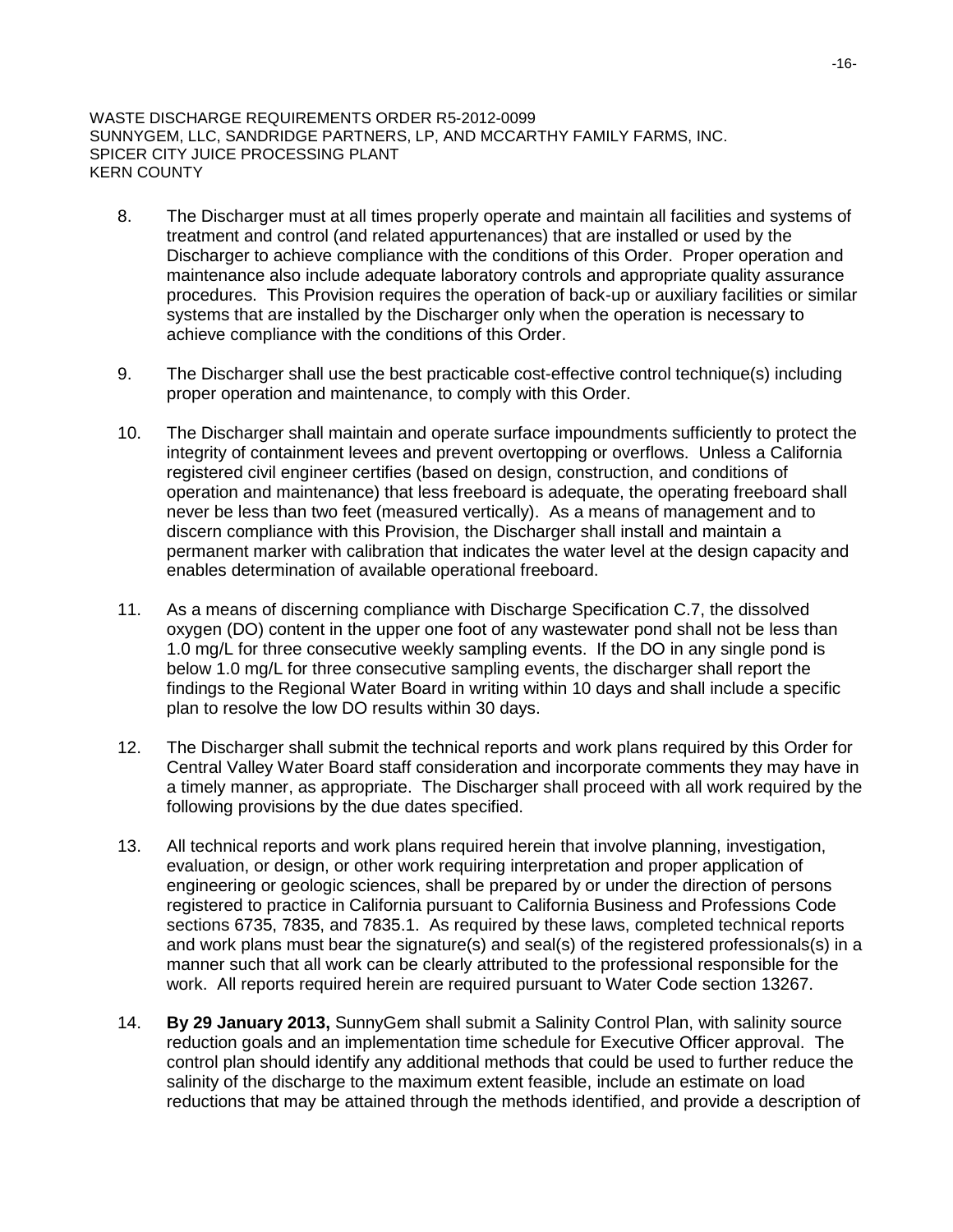- 8. The Discharger must at all times properly operate and maintain all facilities and systems of treatment and control (and related appurtenances) that are installed or used by the Discharger to achieve compliance with the conditions of this Order. Proper operation and maintenance also include adequate laboratory controls and appropriate quality assurance procedures. This Provision requires the operation of back-up or auxiliary facilities or similar systems that are installed by the Discharger only when the operation is necessary to achieve compliance with the conditions of this Order.
- 9. The Discharger shall use the best practicable cost-effective control technique(s) including proper operation and maintenance, to comply with this Order.
- 10. The Discharger shall maintain and operate surface impoundments sufficiently to protect the integrity of containment levees and prevent overtopping or overflows. Unless a California registered civil engineer certifies (based on design, construction, and conditions of operation and maintenance) that less freeboard is adequate, the operating freeboard shall never be less than two feet (measured vertically). As a means of management and to discern compliance with this Provision, the Discharger shall install and maintain a permanent marker with calibration that indicates the water level at the design capacity and enables determination of available operational freeboard.
- 11. As a means of discerning compliance with Discharge Specification C.7, the dissolved oxygen (DO) content in the upper one foot of any wastewater pond shall not be less than 1.0 mg/L for three consecutive weekly sampling events. If the DO in any single pond is below 1.0 mg/L for three consecutive sampling events, the discharger shall report the findings to the Regional Water Board in writing within 10 days and shall include a specific plan to resolve the low DO results within 30 days.
- 12. The Discharger shall submit the technical reports and work plans required by this Order for Central Valley Water Board staff consideration and incorporate comments they may have in a timely manner, as appropriate. The Discharger shall proceed with all work required by the following provisions by the due dates specified.
- 13. All technical reports and work plans required herein that involve planning, investigation, evaluation, or design, or other work requiring interpretation and proper application of engineering or geologic sciences, shall be prepared by or under the direction of persons registered to practice in California pursuant to California Business and Professions Code sections 6735, 7835, and 7835.1. As required by these laws, completed technical reports and work plans must bear the signature(s) and seal(s) of the registered professionals(s) in a manner such that all work can be clearly attributed to the professional responsible for the work. All reports required herein are required pursuant to Water Code section 13267.
- 14. **By 29 January 2013,** SunnyGem shall submit a Salinity Control Plan, with salinity source reduction goals and an implementation time schedule for Executive Officer approval. The control plan should identify any additional methods that could be used to further reduce the salinity of the discharge to the maximum extent feasible, include an estimate on load reductions that may be attained through the methods identified, and provide a description of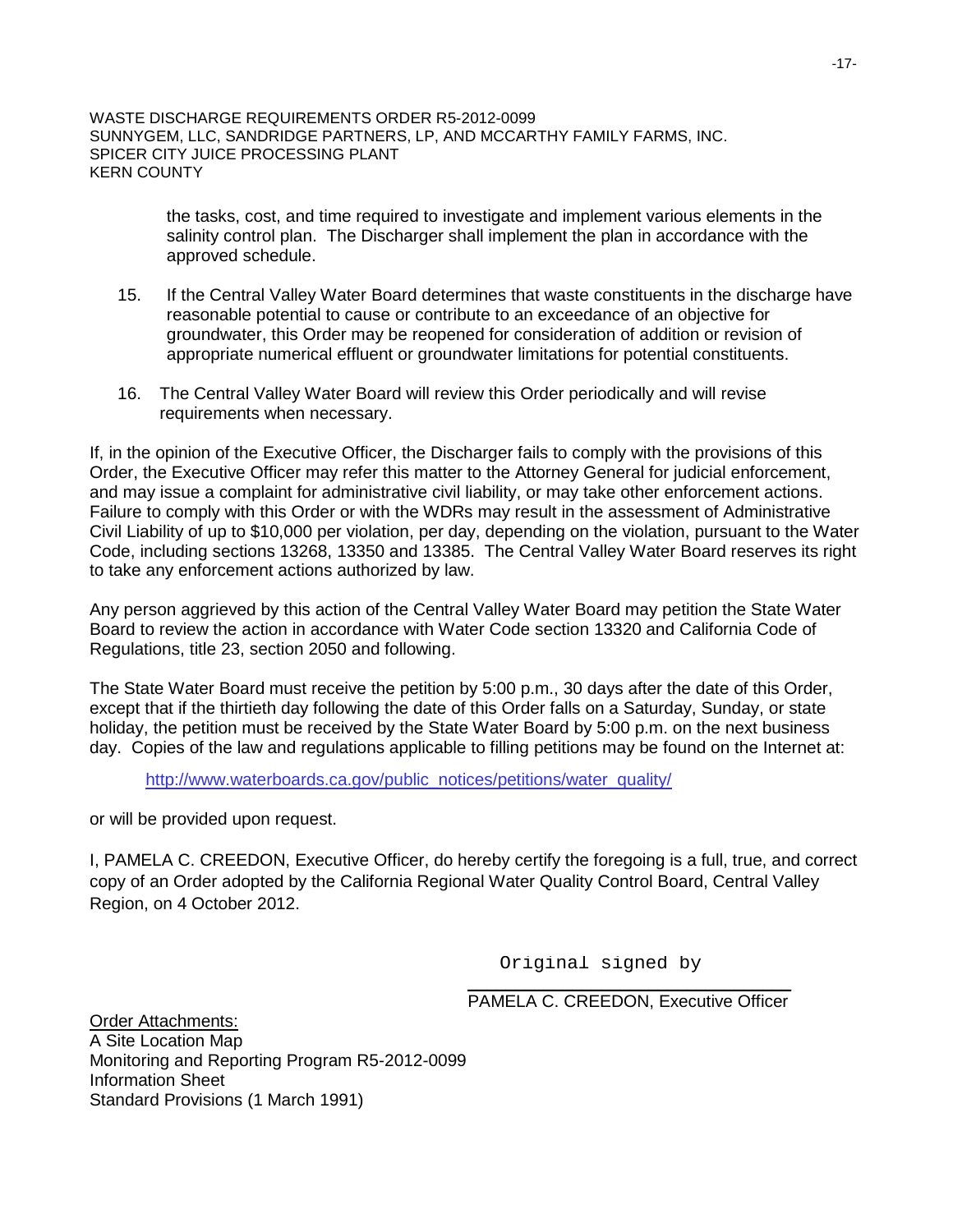> the tasks, cost, and time required to investigate and implement various elements in the salinity control plan. The Discharger shall implement the plan in accordance with the approved schedule.

- 15. If the Central Valley Water Board determines that waste constituents in the discharge have reasonable potential to cause or contribute to an exceedance of an objective for groundwater, this Order may be reopened for consideration of addition or revision of appropriate numerical effluent or groundwater limitations for potential constituents.
- 16. The Central Valley Water Board will review this Order periodically and will revise requirements when necessary.

If, in the opinion of the Executive Officer, the Discharger fails to comply with the provisions of this Order, the Executive Officer may refer this matter to the Attorney General for judicial enforcement, and may issue a complaint for administrative civil liability, or may take other enforcement actions. Failure to comply with this Order or with the WDRs may result in the assessment of Administrative Civil Liability of up to \$10,000 per violation, per day, depending on the violation, pursuant to the Water Code, including sections 13268, 13350 and 13385. The Central Valley Water Board reserves its right to take any enforcement actions authorized by law.

Any person aggrieved by this action of the Central Valley Water Board may petition the State Water Board to review the action in accordance with Water Code section 13320 and California Code of Regulations, title 23, section 2050 and following.

The State Water Board must receive the petition by 5:00 p.m., 30 days after the date of this Order, except that if the thirtieth day following the date of this Order falls on a Saturday, Sunday, or state holiday, the petition must be received by the State Water Board by 5:00 p.m. on the next business day. Copies of the law and regulations applicable to filling petitions may be found on the Internet at:

[http://www.waterboards.ca.gov/public\\_notices/petitions/water\\_quality/](http://www.waterboards.ca.gov/public_notices/petitions/water_quality/)

or will be provided upon request.

I, PAMELA C. CREEDON, Executive Officer, do hereby certify the foregoing is a full, true, and correct copy of an Order adopted by the California Regional Water Quality Control Board, Central Valley Region, on 4 October 2012.

> \_\_\_\_\_\_\_\_\_\_\_\_\_\_\_\_\_\_\_\_\_\_\_\_\_\_\_\_\_\_\_\_\_\_ Original signed by

> PAMELA C. CREEDON, Executive Officer

Order Attachments: A Site Location Map Monitoring and Reporting Program R5-2012-0099 Information Sheet Standard Provisions (1 March 1991)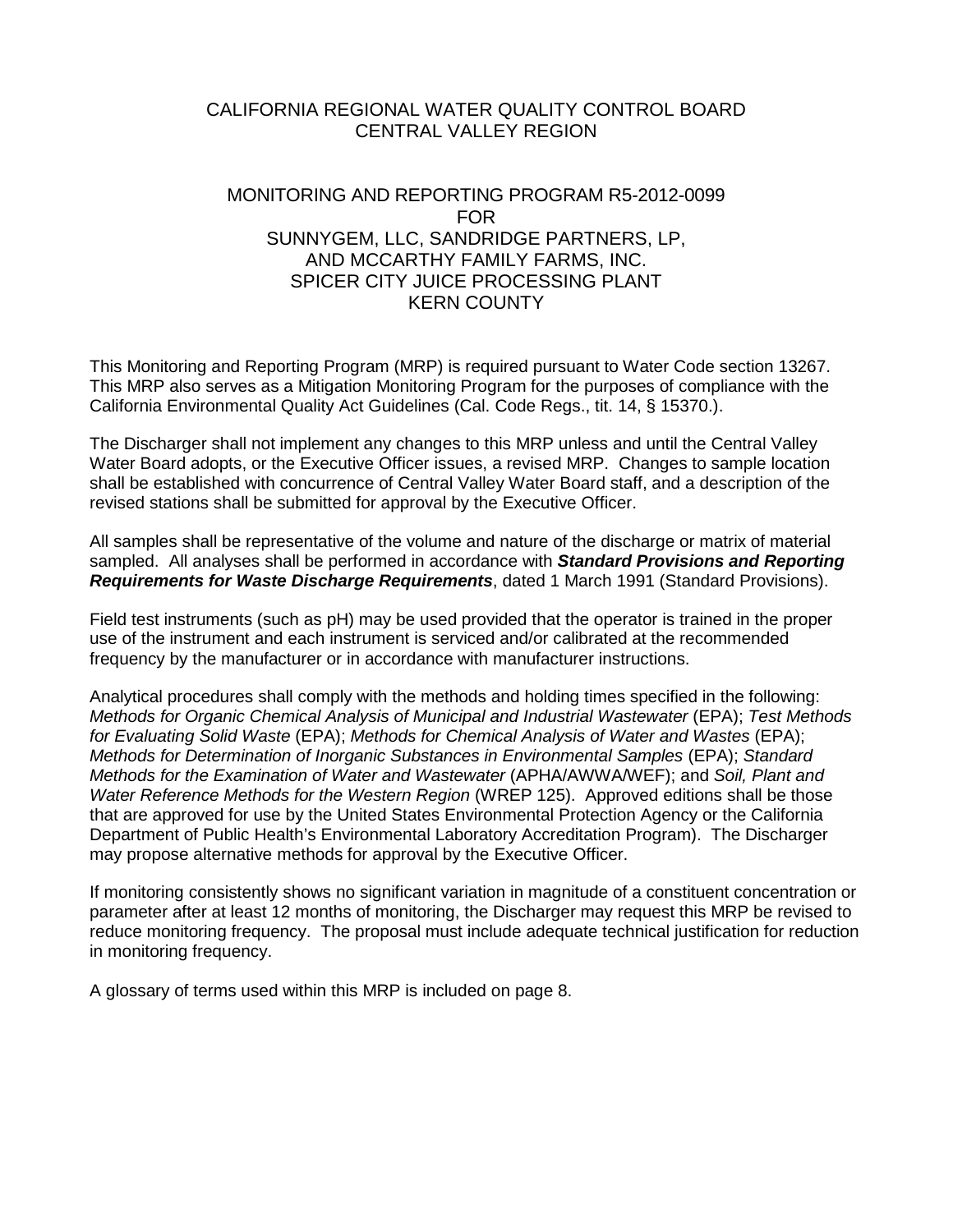## CALIFORNIA REGIONAL WATER QUALITY CONTROL BOARD CENTRAL VALLEY REGION

# MONITORING AND REPORTING PROGRAM R5-2012-0099 FOR SUNNYGEM, LLC, SANDRIDGE PARTNERS, LP, AND MCCARTHY FAMILY FARMS, INC. SPICER CITY JUICE PROCESSING PLANT KERN COUNTY

This Monitoring and Reporting Program (MRP) is required pursuant to Water Code section 13267. This MRP also serves as a Mitigation Monitoring Program for the purposes of compliance with the California Environmental Quality Act Guidelines (Cal. Code Regs., tit. 14, § 15370.).

The Discharger shall not implement any changes to this MRP unless and until the Central Valley Water Board adopts, or the Executive Officer issues, a revised MRP. Changes to sample location shall be established with concurrence of Central Valley Water Board staff, and a description of the revised stations shall be submitted for approval by the Executive Officer.

All samples shall be representative of the volume and nature of the discharge or matrix of material sampled. All analyses shall be performed in accordance with *Standard Provisions and Reporting Requirements for Waste Discharge Requirements*, dated 1 March 1991 (Standard Provisions).

Field test instruments (such as pH) may be used provided that the operator is trained in the proper use of the instrument and each instrument is serviced and/or calibrated at the recommended frequency by the manufacturer or in accordance with manufacturer instructions.

Analytical procedures shall comply with the methods and holding times specified in the following: *Methods for Organic Chemical Analysis of Municipal and Industrial Wastewater* (EPA); *Test Methods for Evaluating Solid Waste* (EPA); *Methods for Chemical Analysis of Water and Wastes* (EPA); *Methods for Determination of Inorganic Substances in Environmental Samples* (EPA); *Standard Methods for the Examination of Water and Wastewater* (APHA/AWWA/WEF); and *Soil, Plant and Water Reference Methods for the Western Region* (WREP 125). Approved editions shall be those that are approved for use by the United States Environmental Protection Agency or the California Department of Public Health's Environmental Laboratory Accreditation Program). The Discharger may propose alternative methods for approval by the Executive Officer.

If monitoring consistently shows no significant variation in magnitude of a constituent concentration or parameter after at least 12 months of monitoring, the Discharger may request this MRP be revised to reduce monitoring frequency. The proposal must include adequate technical justification for reduction in monitoring frequency.

A glossary of terms used within this MRP is included on page 8.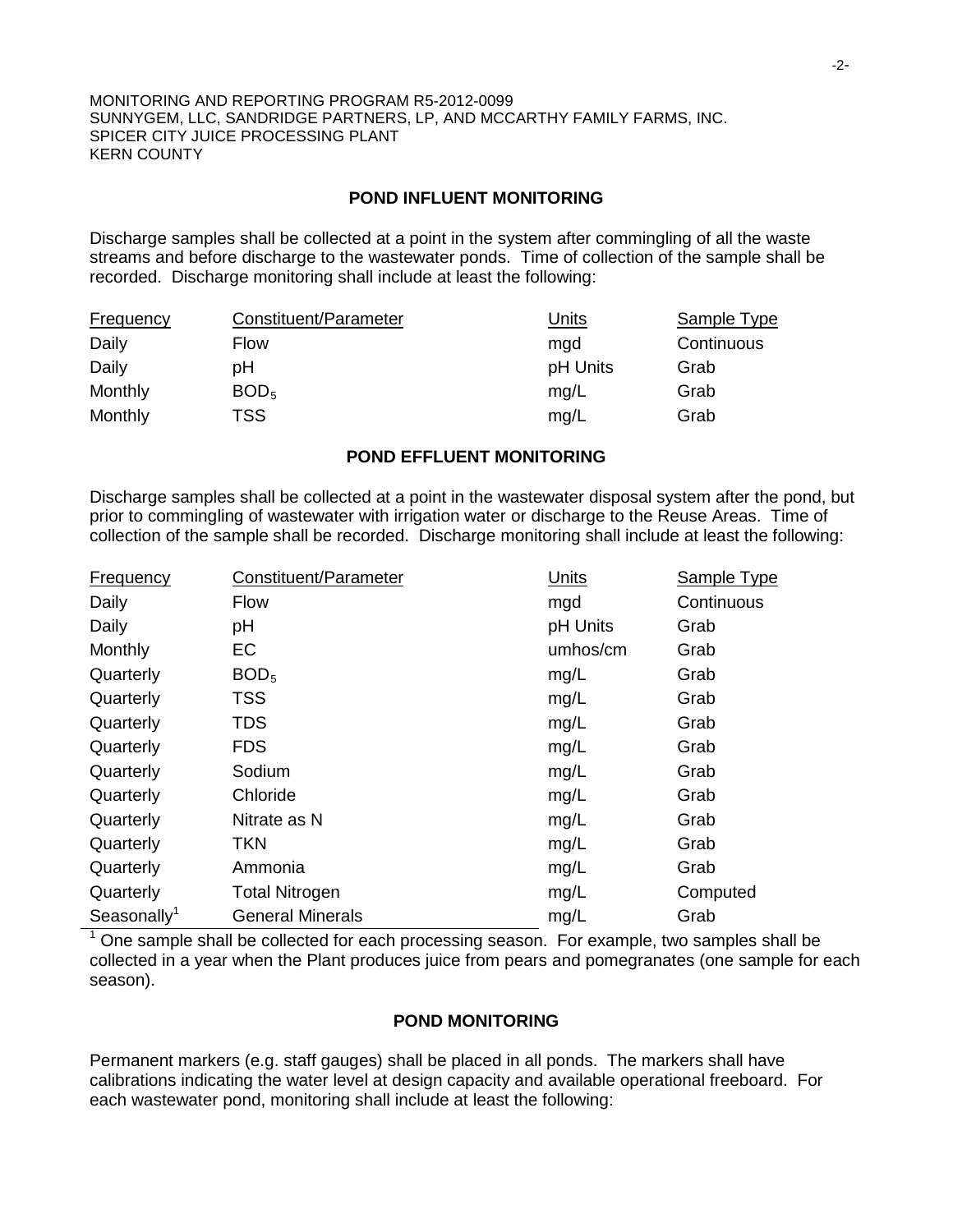### **POND INFLUENT MONITORING**

Discharge samples shall be collected at a point in the system after commingling of all the waste streams and before discharge to the wastewater ponds. Time of collection of the sample shall be recorded. Discharge monitoring shall include at least the following:

| <b>Frequency</b> | Constituent/Parameter | Units    | Sample Type |
|------------------|-----------------------|----------|-------------|
| Daily            | Flow                  | mad      | Continuous  |
| Daily            | рH                    | pH Units | Grab        |
| Monthly          | BOD <sub>5</sub>      | mg/L     | Grab        |
| Monthly          | TSS                   | mg/L     | Grab        |

### **POND EFFLUENT MONITORING**

Discharge samples shall be collected at a point in the wastewater disposal system after the pond, but prior to commingling of wastewater with irrigation water or discharge to the Reuse Areas. Time of collection of the sample shall be recorded. Discharge monitoring shall include at least the following:

| Frequency               | Constituent/Parameter   | Units    | Sample Type |
|-------------------------|-------------------------|----------|-------------|
| Daily                   | <b>Flow</b>             | mgd      | Continuous  |
| Daily                   | pH                      | pH Units | Grab        |
| Monthly                 | EC                      | umhos/cm | Grab        |
| Quarterly               | BOD <sub>5</sub>        | mg/L     | Grab        |
| Quarterly               | <b>TSS</b>              | mg/L     | Grab        |
| Quarterly               | <b>TDS</b>              | mg/L     | Grab        |
| Quarterly               | <b>FDS</b>              | mg/L     | Grab        |
| Quarterly               | Sodium                  | mg/L     | Grab        |
| Quarterly               | Chloride                | mg/L     | Grab        |
| Quarterly               | Nitrate as N            | mg/L     | Grab        |
| Quarterly               | <b>TKN</b>              | mg/L     | Grab        |
| Quarterly               | Ammonia                 | mg/L     | Grab        |
| Quarterly               | <b>Total Nitrogen</b>   | mg/L     | Computed    |
| Seasonally <sup>1</sup> | <b>General Minerals</b> | mg/L     | Grab        |

<sup>1</sup> One sample shall be collected for each processing season. For example, two samples shall be collected in a year when the Plant produces juice from pears and pomegranates (one sample for each season).

### **POND MONITORING**

Permanent markers (e.g. staff gauges) shall be placed in all ponds. The markers shall have calibrations indicating the water level at design capacity and available operational freeboard. For each wastewater pond, monitoring shall include at least the following: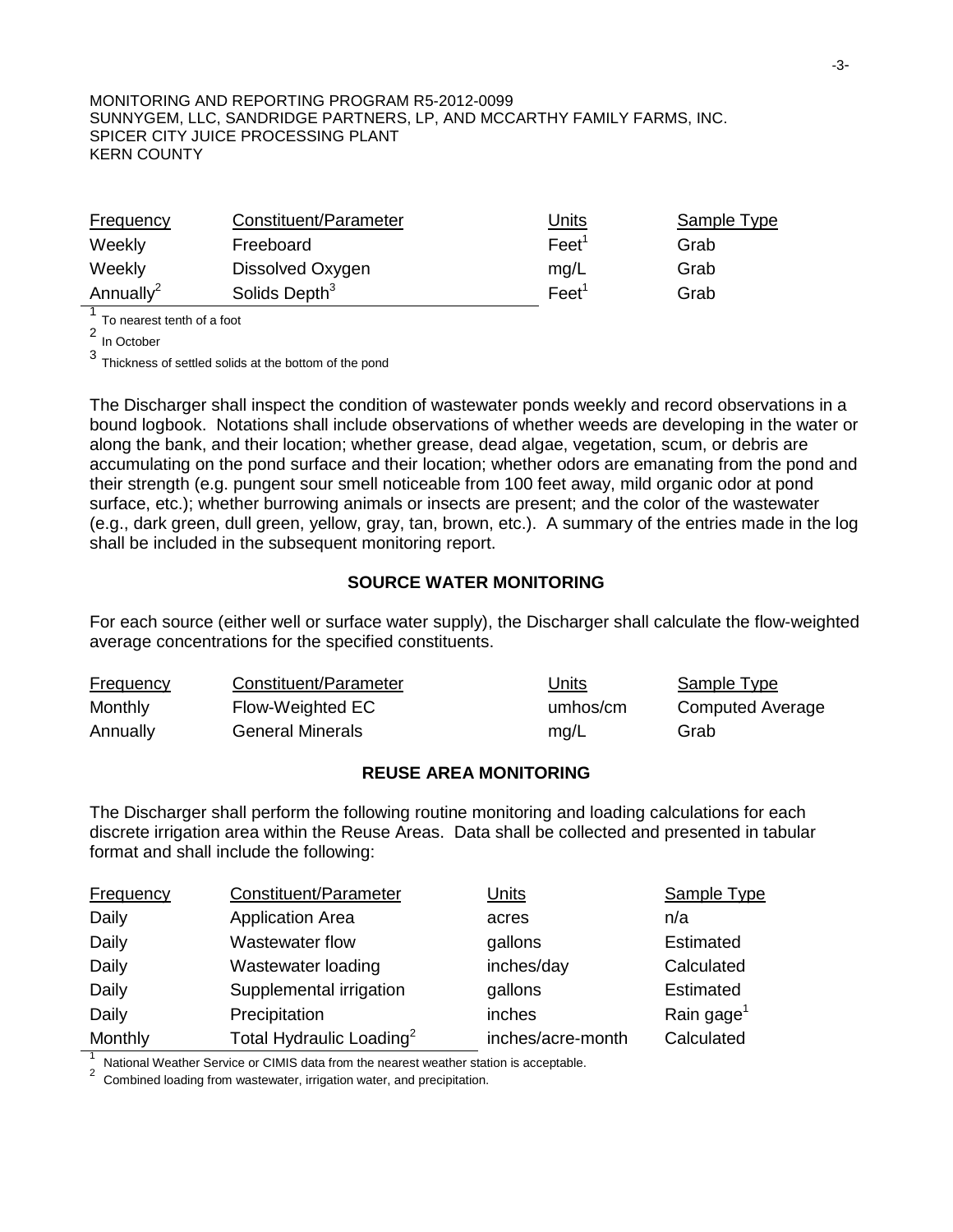| Frequency             | Constituent/Parameter     | Units           | Sample Type |
|-----------------------|---------------------------|-----------------|-------------|
| Weekly                | Freeboard                 | $\text{Feet}^1$ | Grab        |
| Weekly                | Dissolved Oxygen          | mq/L            | Grab        |
| Annually <sup>2</sup> | Solids Depth <sup>3</sup> | Feet'           | Grab        |

<sup>1</sup> To nearest tenth of a foot

<sup>2</sup> In October

<sup>3</sup> Thickness of settled solids at the bottom of the pond

The Discharger shall inspect the condition of wastewater ponds weekly and record observations in a bound logbook. Notations shall include observations of whether weeds are developing in the water or along the bank, and their location; whether grease, dead algae, vegetation, scum, or debris are accumulating on the pond surface and their location; whether odors are emanating from the pond and their strength (e.g. pungent sour smell noticeable from 100 feet away, mild organic odor at pond surface, etc.); whether burrowing animals or insects are present; and the color of the wastewater (e.g., dark green, dull green, yellow, gray, tan, brown, etc.). A summary of the entries made in the log shall be included in the subsequent monitoring report.

## **SOURCE WATER MONITORING**

For each source (either well or surface water supply), the Discharger shall calculate the flow-weighted average concentrations for the specified constituents.

| <b>Frequency</b> | Constituent/Parameter | Units    | Sample Type      |
|------------------|-----------------------|----------|------------------|
| <b>Monthly</b>   | Flow-Weighted EC      | umhos/cm | Computed Average |
| Annually         | General Minerals      | mg/L     | Grab             |

## **REUSE AREA MONITORING**

The Discharger shall perform the following routine monitoring and loading calculations for each discrete irrigation area within the Reuse Areas. Data shall be collected and presented in tabular format and shall include the following:

| <b>Frequency</b> | Constituent/Parameter                | <u>Units</u>      | Sample Type            |
|------------------|--------------------------------------|-------------------|------------------------|
| Daily            | <b>Application Area</b>              | acres             | n/a                    |
| Daily            | Wastewater flow                      | gallons           | <b>Estimated</b>       |
| Daily            | Wastewater loading                   | inches/day        | Calculated             |
| Daily            | Supplemental irrigation              | gallons           | <b>Estimated</b>       |
| Daily            | Precipitation                        | inches            | Rain gage <sup>1</sup> |
| Monthly          | Total Hydraulic Loading <sup>2</sup> | inches/acre-month | Calculated             |

National Weather Service or CIMIS data from the nearest weather station is acceptable.<br>Combined loading from wastewater, irrigation water, and precipitation.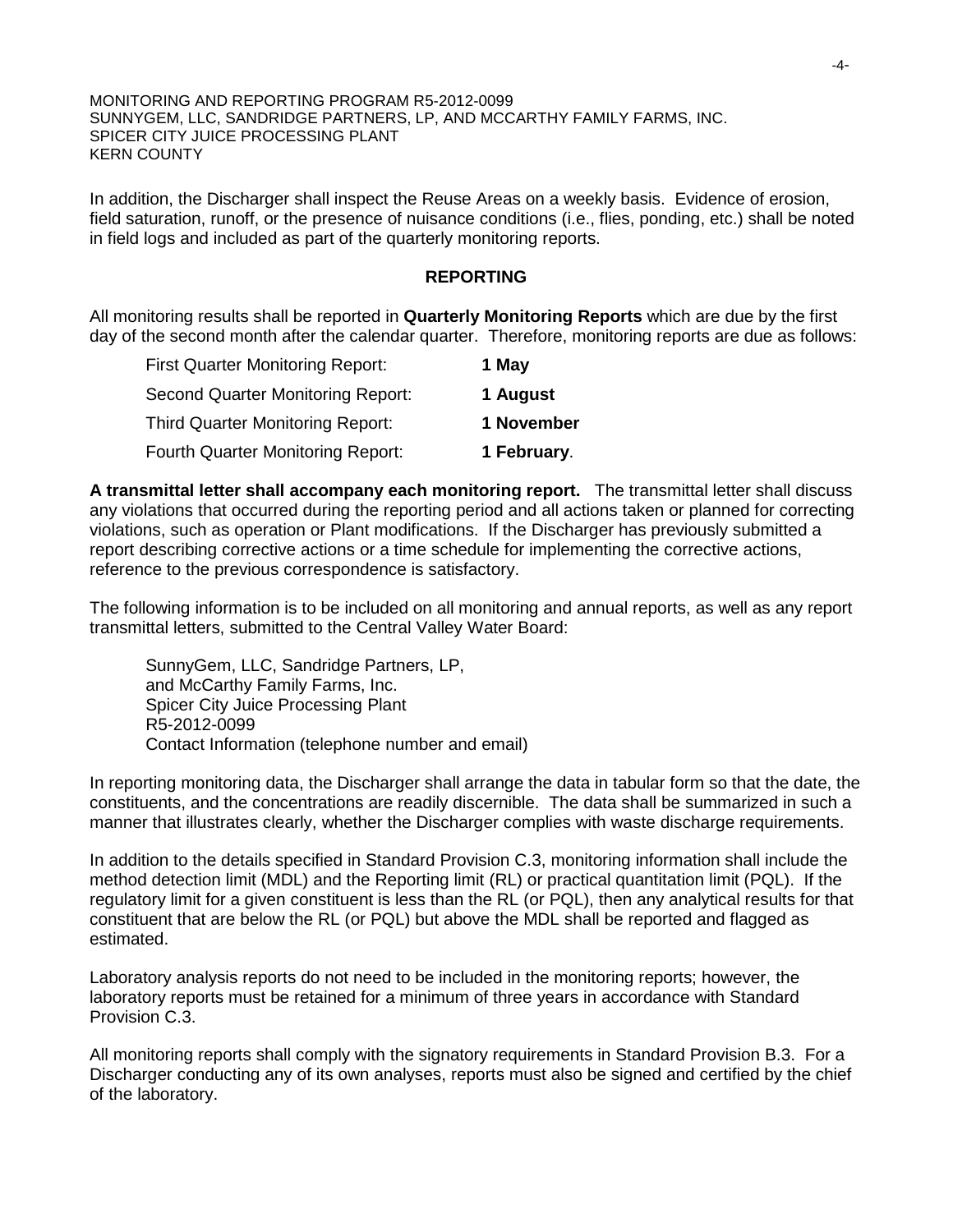In addition, the Discharger shall inspect the Reuse Areas on a weekly basis. Evidence of erosion, field saturation, runoff, or the presence of nuisance conditions (i.e., flies, ponding, etc.) shall be noted in field logs and included as part of the quarterly monitoring reports.

#### **REPORTING**

All monitoring results shall be reported in **Quarterly Monitoring Reports** which are due by the first day of the second month after the calendar quarter. Therefore, monitoring reports are due as follows:

| <b>First Quarter Monitoring Report:</b>  | 1 May       |
|------------------------------------------|-------------|
| <b>Second Quarter Monitoring Report:</b> | 1 August    |
| <b>Third Quarter Monitoring Report:</b>  | 1 November  |
| <b>Fourth Quarter Monitoring Report:</b> | 1 February. |

**A transmittal letter shall accompany each monitoring report.** The transmittal letter shall discuss any violations that occurred during the reporting period and all actions taken or planned for correcting violations, such as operation or Plant modifications. If the Discharger has previously submitted a report describing corrective actions or a time schedule for implementing the corrective actions, reference to the previous correspondence is satisfactory.

The following information is to be included on all monitoring and annual reports, as well as any report transmittal letters, submitted to the Central Valley Water Board:

SunnyGem, LLC, Sandridge Partners, LP, and McCarthy Family Farms, Inc. Spicer City Juice Processing Plant R5-2012-0099 Contact Information (telephone number and email)

In reporting monitoring data, the Discharger shall arrange the data in tabular form so that the date, the constituents, and the concentrations are readily discernible. The data shall be summarized in such a manner that illustrates clearly, whether the Discharger complies with waste discharge requirements.

In addition to the details specified in Standard Provision C.3, monitoring information shall include the method detection limit (MDL) and the Reporting limit (RL) or practical quantitation limit (PQL). If the regulatory limit for a given constituent is less than the RL (or PQL), then any analytical results for that constituent that are below the RL (or PQL) but above the MDL shall be reported and flagged as estimated.

Laboratory analysis reports do not need to be included in the monitoring reports; however, the laboratory reports must be retained for a minimum of three years in accordance with Standard Provision C.3.

All monitoring reports shall comply with the signatory requirements in Standard Provision B.3. For a Discharger conducting any of its own analyses, reports must also be signed and certified by the chief of the laboratory.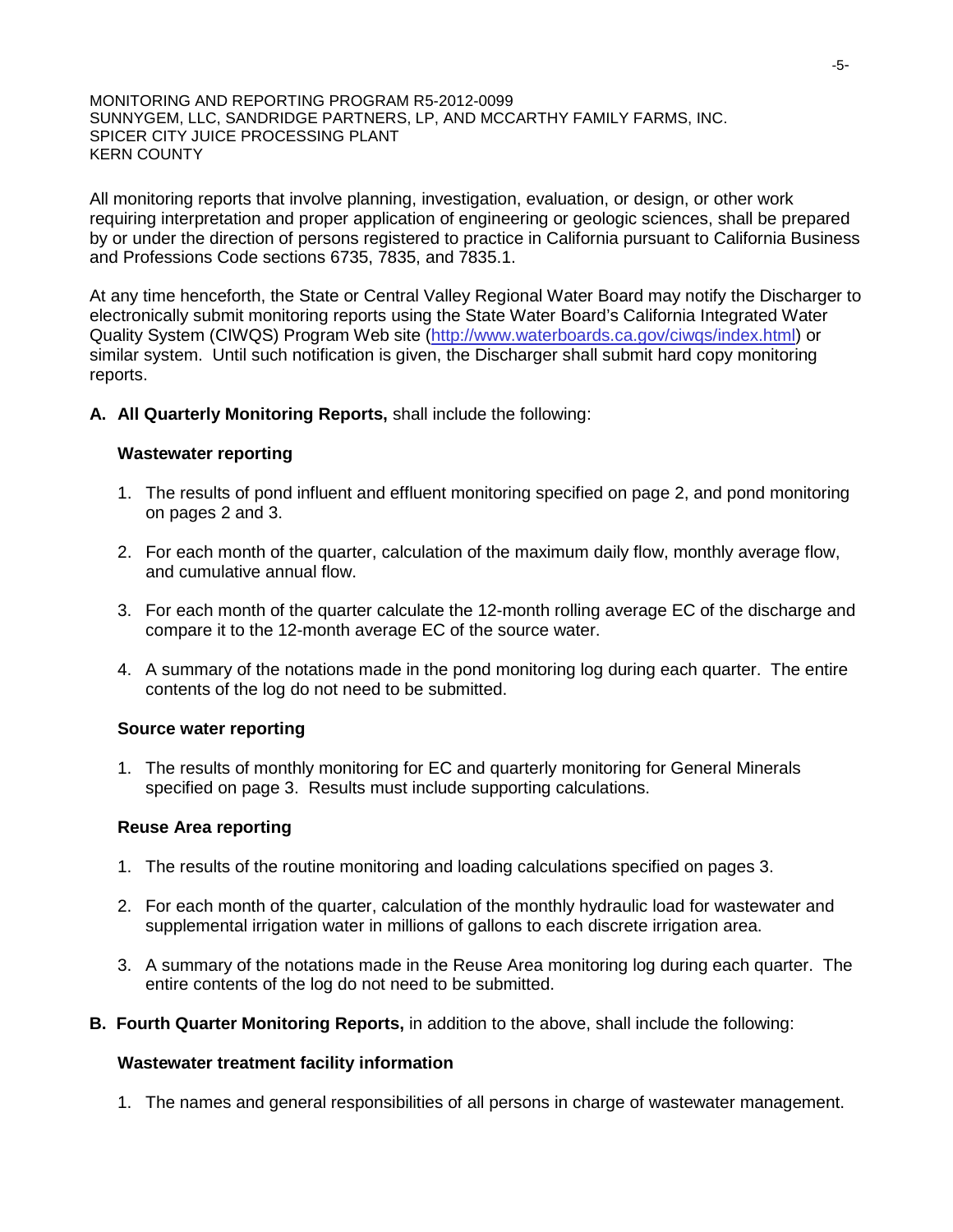All monitoring reports that involve planning, investigation, evaluation, or design, or other work requiring interpretation and proper application of engineering or geologic sciences, shall be prepared by or under the direction of persons registered to practice in California pursuant to California Business and Professions Code sections 6735, 7835, and 7835.1.

At any time henceforth, the State or Central Valley Regional Water Board may notify the Discharger to electronically submit monitoring reports using the State Water Board's California Integrated Water Quality System (CIWQS) Program Web site [\(http://www.waterboards.ca.gov/ciwqs/index.html\)](http://www.waterboards.ca.gov/ciwqs/index.html) or similar system. Until such notification is given, the Discharger shall submit hard copy monitoring reports.

**A. All Quarterly Monitoring Reports,** shall include the following:

## **Wastewater reporting**

- 1. The results of pond influent and effluent monitoring specified on page 2, and pond monitoring on pages 2 and 3.
- 2. For each month of the quarter, calculation of the maximum daily flow, monthly average flow, and cumulative annual flow.
- 3. For each month of the quarter calculate the 12-month rolling average EC of the discharge and compare it to the 12-month average EC of the source water.
- 4. A summary of the notations made in the pond monitoring log during each quarter. The entire contents of the log do not need to be submitted.

## **Source water reporting**

1. The results of monthly monitoring for EC and quarterly monitoring for General Minerals specified on page 3. Results must include supporting calculations.

### **Reuse Area reporting**

- 1. The results of the routine monitoring and loading calculations specified on pages 3.
- 2. For each month of the quarter, calculation of the monthly hydraulic load for wastewater and supplemental irrigation water in millions of gallons to each discrete irrigation area.
- 3. A summary of the notations made in the Reuse Area monitoring log during each quarter. The entire contents of the log do not need to be submitted.
- **B. Fourth Quarter Monitoring Reports,** in addition to the above, shall include the following:

### **Wastewater treatment facility information**

1. The names and general responsibilities of all persons in charge of wastewater management.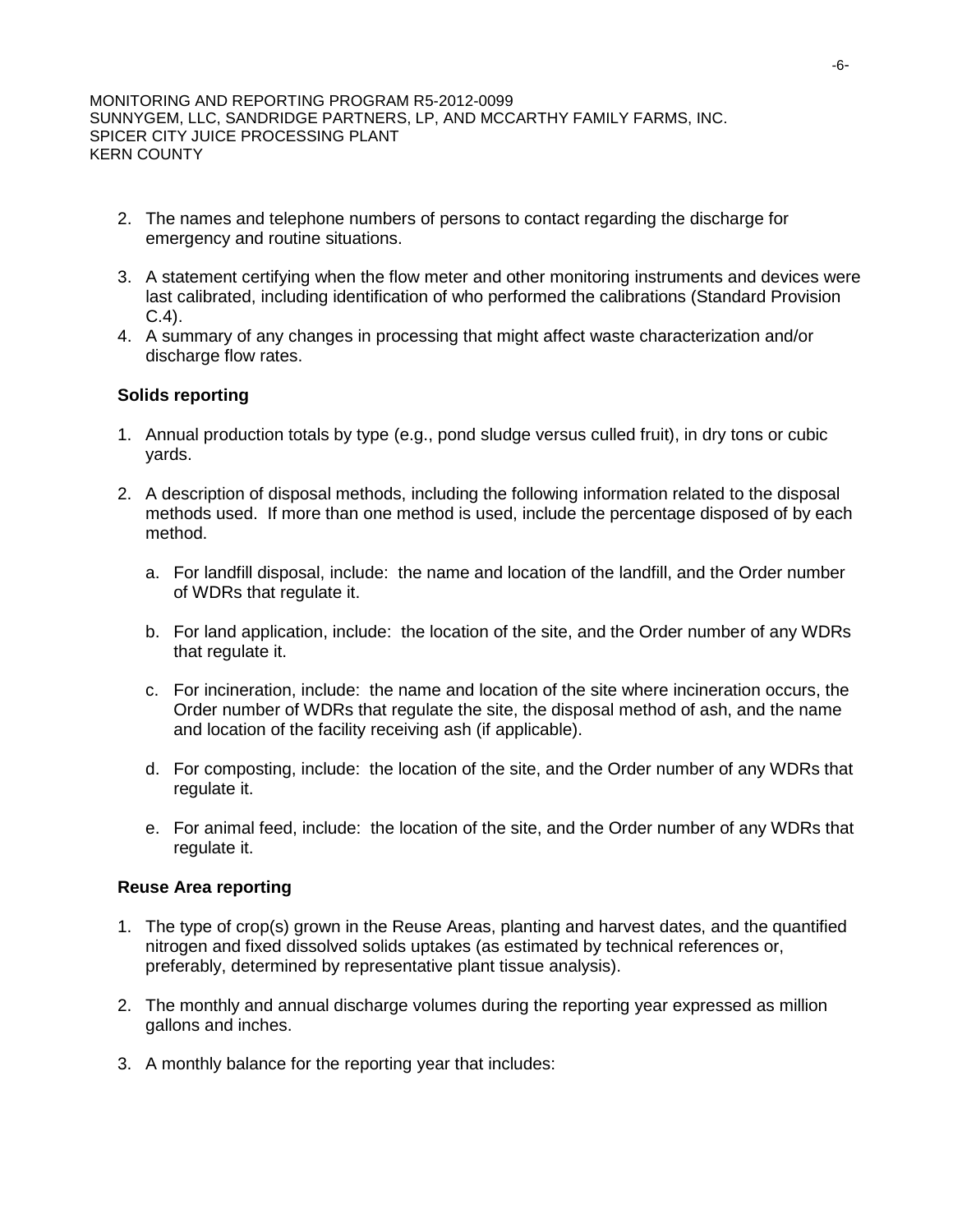- 2. The names and telephone numbers of persons to contact regarding the discharge for emergency and routine situations.
- 3. A statement certifying when the flow meter and other monitoring instruments and devices were last calibrated, including identification of who performed the calibrations (Standard Provision C.4).
- 4. A summary of any changes in processing that might affect waste characterization and/or discharge flow rates.

## **Solids reporting**

- 1. Annual production totals by type (e.g., pond sludge versus culled fruit), in dry tons or cubic yards.
- 2. A description of disposal methods, including the following information related to the disposal methods used. If more than one method is used, include the percentage disposed of by each method.
	- a. For landfill disposal, include: the name and location of the landfill, and the Order number of WDRs that regulate it.
	- b. For land application, include: the location of the site, and the Order number of any WDRs that regulate it.
	- c. For incineration, include: the name and location of the site where incineration occurs, the Order number of WDRs that regulate the site, the disposal method of ash, and the name and location of the facility receiving ash (if applicable).
	- d. For composting, include: the location of the site, and the Order number of any WDRs that regulate it.
	- e. For animal feed, include: the location of the site, and the Order number of any WDRs that regulate it.

### **Reuse Area reporting**

- 1. The type of crop(s) grown in the Reuse Areas, planting and harvest dates, and the quantified nitrogen and fixed dissolved solids uptakes (as estimated by technical references or, preferably, determined by representative plant tissue analysis).
- 2. The monthly and annual discharge volumes during the reporting year expressed as million gallons and inches.
- 3. A monthly balance for the reporting year that includes: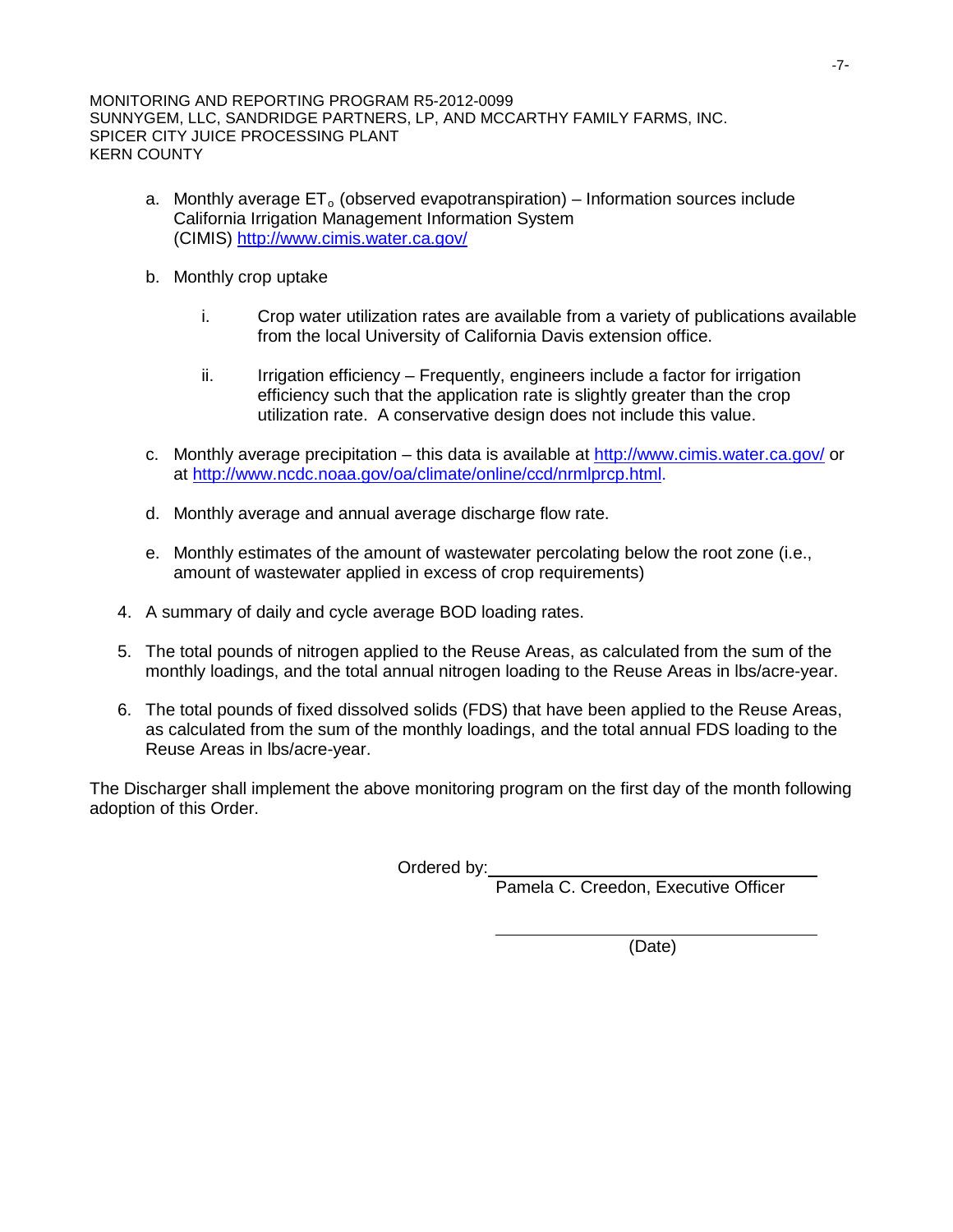- a. Monthly average  $ET_0$  (observed evapotranspiration) Information sources include California Irrigation Management Information System (CIMIS)<http://www.cimis.water.ca.gov/>
- b. Monthly crop uptake
	- i. Crop water utilization rates are available from a variety of publications available from the local University of California Davis extension office.
	- ii. Irrigation efficiency Frequently, engineers include a factor for irrigation efficiency such that the application rate is slightly greater than the crop utilization rate. A conservative design does not include this value.
- c. Monthly average precipitation this data is available at http://www.cimis.water.ca.gov/ or at http://www.ncdc.noaa.gov/oa/climate/online/ccd/nrmlprcp.html.
- d. Monthly average and annual average discharge flow rate.
- e. Monthly estimates of the amount of wastewater percolating below the root zone (i.e., amount of wastewater applied in excess of crop requirements)
- 4. A summary of daily and cycle average BOD loading rates.
- 5. The total pounds of nitrogen applied to the Reuse Areas, as calculated from the sum of the monthly loadings, and the total annual nitrogen loading to the Reuse Areas in lbs/acre-year.
- 6. The total pounds of fixed dissolved solids (FDS) that have been applied to the Reuse Areas, as calculated from the sum of the monthly loadings, and the total annual FDS loading to the Reuse Areas in lbs/acre-year.

The Discharger shall implement the above monitoring program on the first day of the month following adoption of this Order.

Ordered by:

Pamela C. Creedon, Executive Officer

(Date)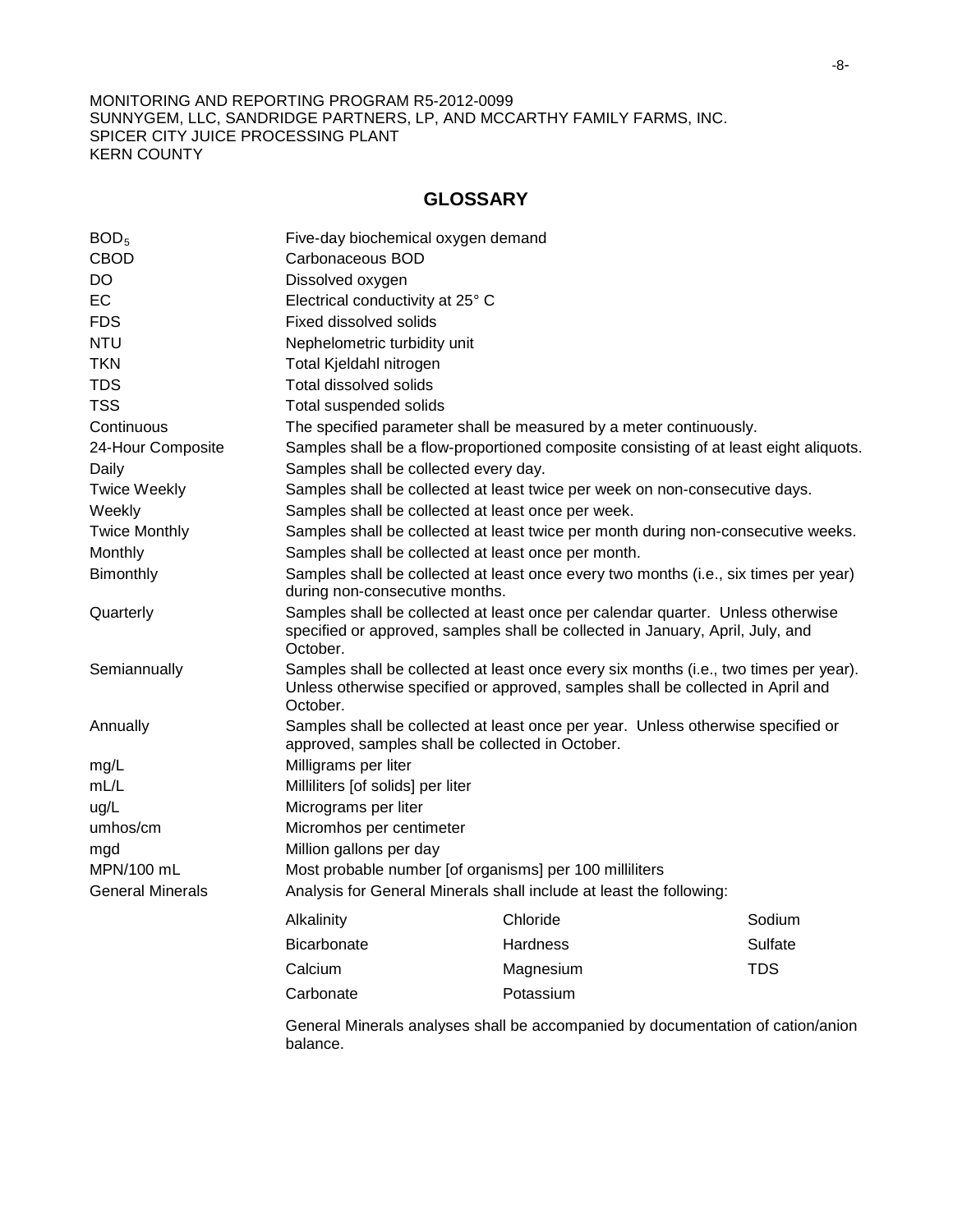## **GLOSSARY**

| BOD <sub>5</sub>        | Five-day biochemical oxygen demand                                                                                                                                                   |                                                                                       |            |
|-------------------------|--------------------------------------------------------------------------------------------------------------------------------------------------------------------------------------|---------------------------------------------------------------------------------------|------------|
| <b>CBOD</b>             | Carbonaceous BOD                                                                                                                                                                     |                                                                                       |            |
| <b>DO</b>               | Dissolved oxygen                                                                                                                                                                     |                                                                                       |            |
| EC                      | Electrical conductivity at 25° C                                                                                                                                                     |                                                                                       |            |
| <b>FDS</b>              | <b>Fixed dissolved solids</b>                                                                                                                                                        |                                                                                       |            |
| <b>NTU</b>              | Nephelometric turbidity unit                                                                                                                                                         |                                                                                       |            |
| <b>TKN</b>              | Total Kjeldahl nitrogen                                                                                                                                                              |                                                                                       |            |
| <b>TDS</b>              | <b>Total dissolved solids</b>                                                                                                                                                        |                                                                                       |            |
| <b>TSS</b>              | Total suspended solids                                                                                                                                                               |                                                                                       |            |
| Continuous              |                                                                                                                                                                                      | The specified parameter shall be measured by a meter continuously.                    |            |
| 24-Hour Composite       |                                                                                                                                                                                      | Samples shall be a flow-proportioned composite consisting of at least eight aliquots. |            |
| Daily                   | Samples shall be collected every day.                                                                                                                                                |                                                                                       |            |
| <b>Twice Weekly</b>     |                                                                                                                                                                                      | Samples shall be collected at least twice per week on non-consecutive days.           |            |
| Weekly                  | Samples shall be collected at least once per week.                                                                                                                                   |                                                                                       |            |
| <b>Twice Monthly</b>    |                                                                                                                                                                                      | Samples shall be collected at least twice per month during non-consecutive weeks.     |            |
| Monthly                 | Samples shall be collected at least once per month.                                                                                                                                  |                                                                                       |            |
| Bimonthly               | Samples shall be collected at least once every two months (i.e., six times per year)<br>during non-consecutive months.                                                               |                                                                                       |            |
| Quarterly               | Samples shall be collected at least once per calendar quarter. Unless otherwise<br>specified or approved, samples shall be collected in January, April, July, and<br>October.        |                                                                                       |            |
| Semiannually            | Samples shall be collected at least once every six months (i.e., two times per year).<br>Unless otherwise specified or approved, samples shall be collected in April and<br>October. |                                                                                       |            |
| Annually                | approved, samples shall be collected in October.                                                                                                                                     | Samples shall be collected at least once per year. Unless otherwise specified or      |            |
| mg/L                    | Milligrams per liter                                                                                                                                                                 |                                                                                       |            |
| mL/L                    | Milliliters [of solids] per liter                                                                                                                                                    |                                                                                       |            |
| ug/L                    | Micrograms per liter                                                                                                                                                                 |                                                                                       |            |
| umhos/cm                | Micromhos per centimeter                                                                                                                                                             |                                                                                       |            |
| mgd                     | Million gallons per day                                                                                                                                                              |                                                                                       |            |
| MPN/100 mL              | Most probable number [of organisms] per 100 milliliters                                                                                                                              |                                                                                       |            |
| <b>General Minerals</b> |                                                                                                                                                                                      | Analysis for General Minerals shall include at least the following:                   |            |
|                         | Alkalinity                                                                                                                                                                           | Chloride                                                                              | Sodium     |
|                         | <b>Bicarbonate</b>                                                                                                                                                                   | Hardness                                                                              | Sulfate    |
|                         | Calcium                                                                                                                                                                              | Magnesium                                                                             | <b>TDS</b> |
|                         | Carbonate                                                                                                                                                                            | Potassium                                                                             |            |
|                         | balance.                                                                                                                                                                             | General Minerals analyses shall be accompanied by documentation of cation/anion       |            |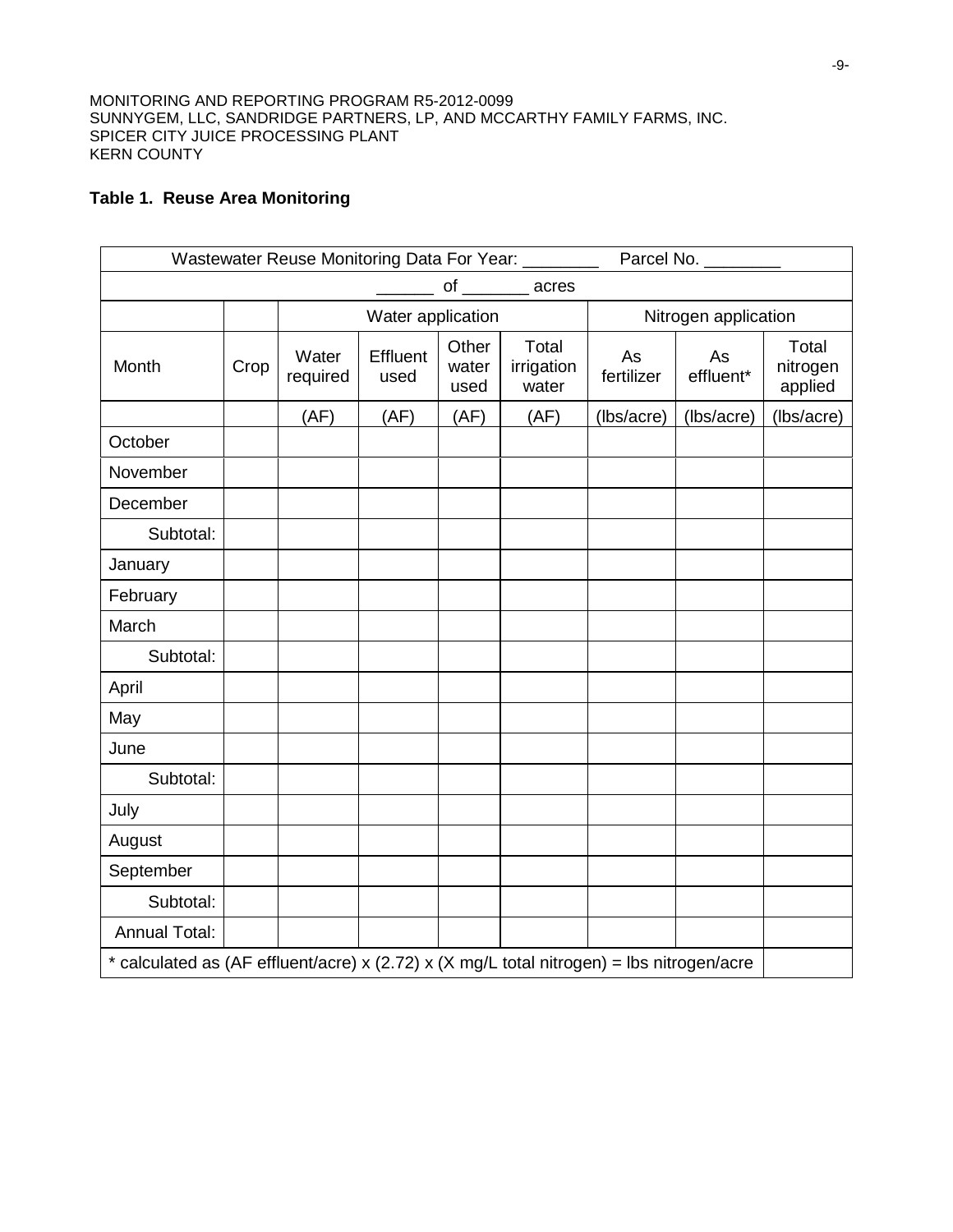# **Table 1. Reuse Area Monitoring**

| Wastewater Reuse Monitoring Data For Year: ________<br>Parcel No. _______                 |      |                   |                  |                        |                              |                      |                 |                              |
|-------------------------------------------------------------------------------------------|------|-------------------|------------------|------------------------|------------------------------|----------------------|-----------------|------------------------------|
| of _________ acres                                                                        |      |                   |                  |                        |                              |                      |                 |                              |
|                                                                                           |      | Water application |                  |                        |                              | Nitrogen application |                 |                              |
| Month                                                                                     | Crop | Water<br>required | Effluent<br>used | Other<br>water<br>used | Total<br>irrigation<br>water | As<br>fertilizer     | As<br>effluent* | Total<br>nitrogen<br>applied |
|                                                                                           |      | (AF)              | (AF)             | (AF)                   | (AF)                         | (lbs/acre)           | (lbs/acre)      | (lbs/acre)                   |
| October                                                                                   |      |                   |                  |                        |                              |                      |                 |                              |
| November                                                                                  |      |                   |                  |                        |                              |                      |                 |                              |
| December                                                                                  |      |                   |                  |                        |                              |                      |                 |                              |
| Subtotal:                                                                                 |      |                   |                  |                        |                              |                      |                 |                              |
| January                                                                                   |      |                   |                  |                        |                              |                      |                 |                              |
| February                                                                                  |      |                   |                  |                        |                              |                      |                 |                              |
| March                                                                                     |      |                   |                  |                        |                              |                      |                 |                              |
| Subtotal:                                                                                 |      |                   |                  |                        |                              |                      |                 |                              |
| April                                                                                     |      |                   |                  |                        |                              |                      |                 |                              |
| May                                                                                       |      |                   |                  |                        |                              |                      |                 |                              |
| June                                                                                      |      |                   |                  |                        |                              |                      |                 |                              |
| Subtotal:                                                                                 |      |                   |                  |                        |                              |                      |                 |                              |
| July                                                                                      |      |                   |                  |                        |                              |                      |                 |                              |
| August                                                                                    |      |                   |                  |                        |                              |                      |                 |                              |
| September                                                                                 |      |                   |                  |                        |                              |                      |                 |                              |
| Subtotal:                                                                                 |      |                   |                  |                        |                              |                      |                 |                              |
| <b>Annual Total:</b>                                                                      |      |                   |                  |                        |                              |                      |                 |                              |
| * calculated as (AF effluent/acre) x (2.72) x (X mg/L total nitrogen) = lbs nitrogen/acre |      |                   |                  |                        |                              |                      |                 |                              |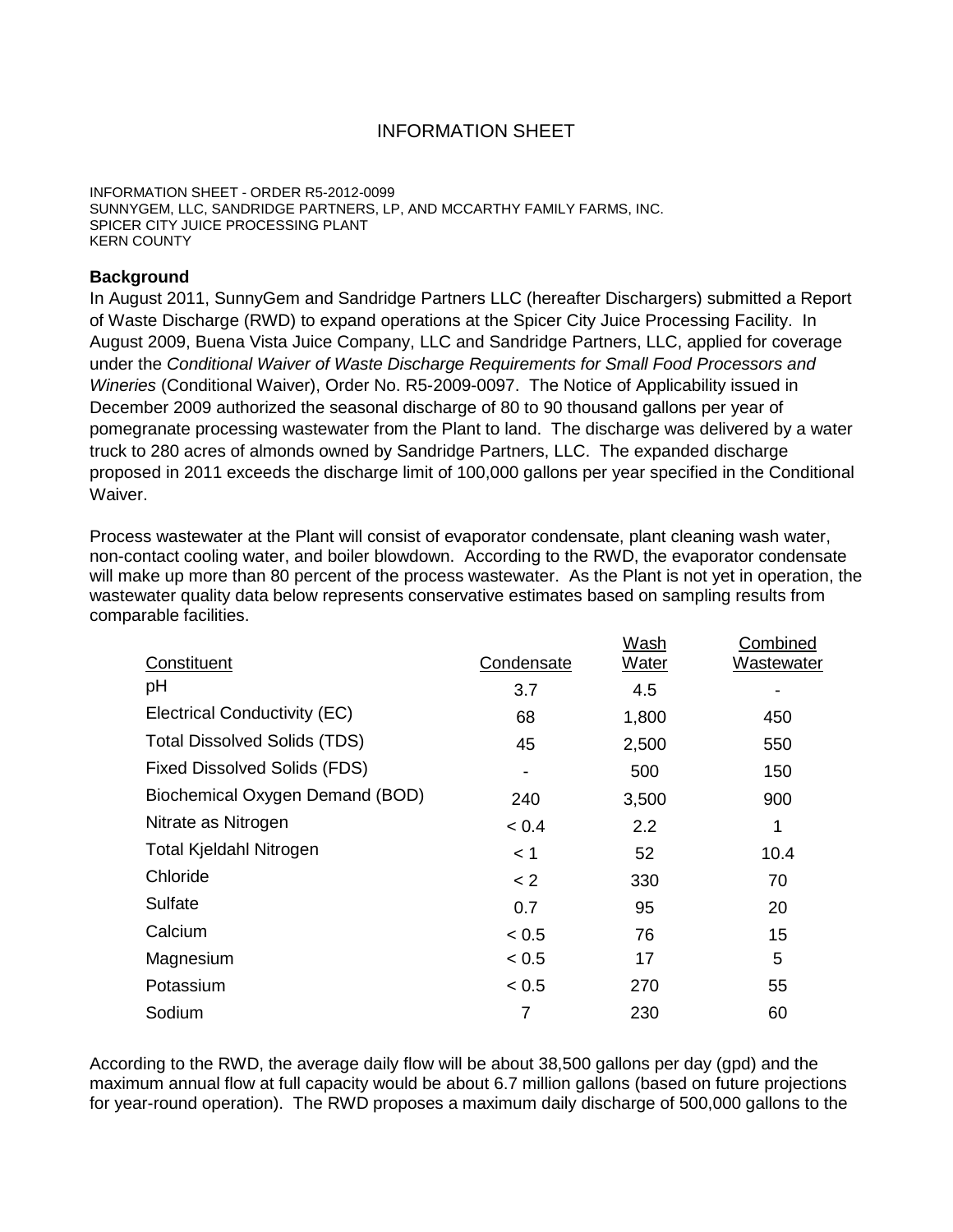# INFORMATION SHEET

INFORMATION SHEET - ORDER R5-2012-0099 SUNNYGEM, LLC, SANDRIDGE PARTNERS, LP, AND MCCARTHY FAMILY FARMS, INC. SPICER CITY JUICE PROCESSING PLANT KERN COUNTY

## **Background**

In August 2011, SunnyGem and Sandridge Partners LLC (hereafter Dischargers) submitted a Report of Waste Discharge (RWD) to expand operations at the Spicer City Juice Processing Facility. In August 2009, Buena Vista Juice Company, LLC and Sandridge Partners, LLC, applied for coverage under the *Conditional Waiver of Waste Discharge Requirements for Small Food Processors and Wineries* (Conditional Waiver), Order No. R5-2009-0097. The Notice of Applicability issued in December 2009 authorized the seasonal discharge of 80 to 90 thousand gallons per year of pomegranate processing wastewater from the Plant to land. The discharge was delivered by a water truck to 280 acres of almonds owned by Sandridge Partners, LLC. The expanded discharge proposed in 2011 exceeds the discharge limit of 100,000 gallons per year specified in the Conditional Waiver.

Process wastewater at the Plant will consist of evaporator condensate, plant cleaning wash water, non-contact cooling water, and boiler blowdown. According to the RWD, the evaporator condensate will make up more than 80 percent of the process wastewater. As the Plant is not yet in operation, the wastewater quality data below represents conservative estimates based on sampling results from comparable facilities.

| Constituent                         | Condensate | <b>Wash</b><br><b>Water</b> | Combined<br><b>Wastewater</b> |
|-------------------------------------|------------|-----------------------------|-------------------------------|
| рH                                  | 3.7        | 4.5                         |                               |
| Electrical Conductivity (EC)        | 68         | 1,800                       | 450                           |
| <b>Total Dissolved Solids (TDS)</b> | 45         | 2,500                       | 550                           |
| <b>Fixed Dissolved Solids (FDS)</b> |            | 500                         | 150                           |
| Biochemical Oxygen Demand (BOD)     | 240        | 3,500                       | 900                           |
| Nitrate as Nitrogen                 | < 0.4      | 2.2                         | 1                             |
| Total Kjeldahl Nitrogen             | < 1        | 52                          | 10.4                          |
| Chloride                            | $\lt 2$    | 330                         | 70                            |
| Sulfate                             | 0.7        | 95                          | 20                            |
| Calcium                             | < 0.5      | 76                          | 15                            |
| Magnesium                           | < 0.5      | 17                          | 5                             |
| Potassium                           | < 0.5      | 270                         | 55                            |
| Sodium                              | 7          | 230                         | 60                            |

According to the RWD, the average daily flow will be about 38,500 gallons per day (gpd) and the maximum annual flow at full capacity would be about 6.7 million gallons (based on future projections for year-round operation). The RWD proposes a maximum daily discharge of 500,000 gallons to the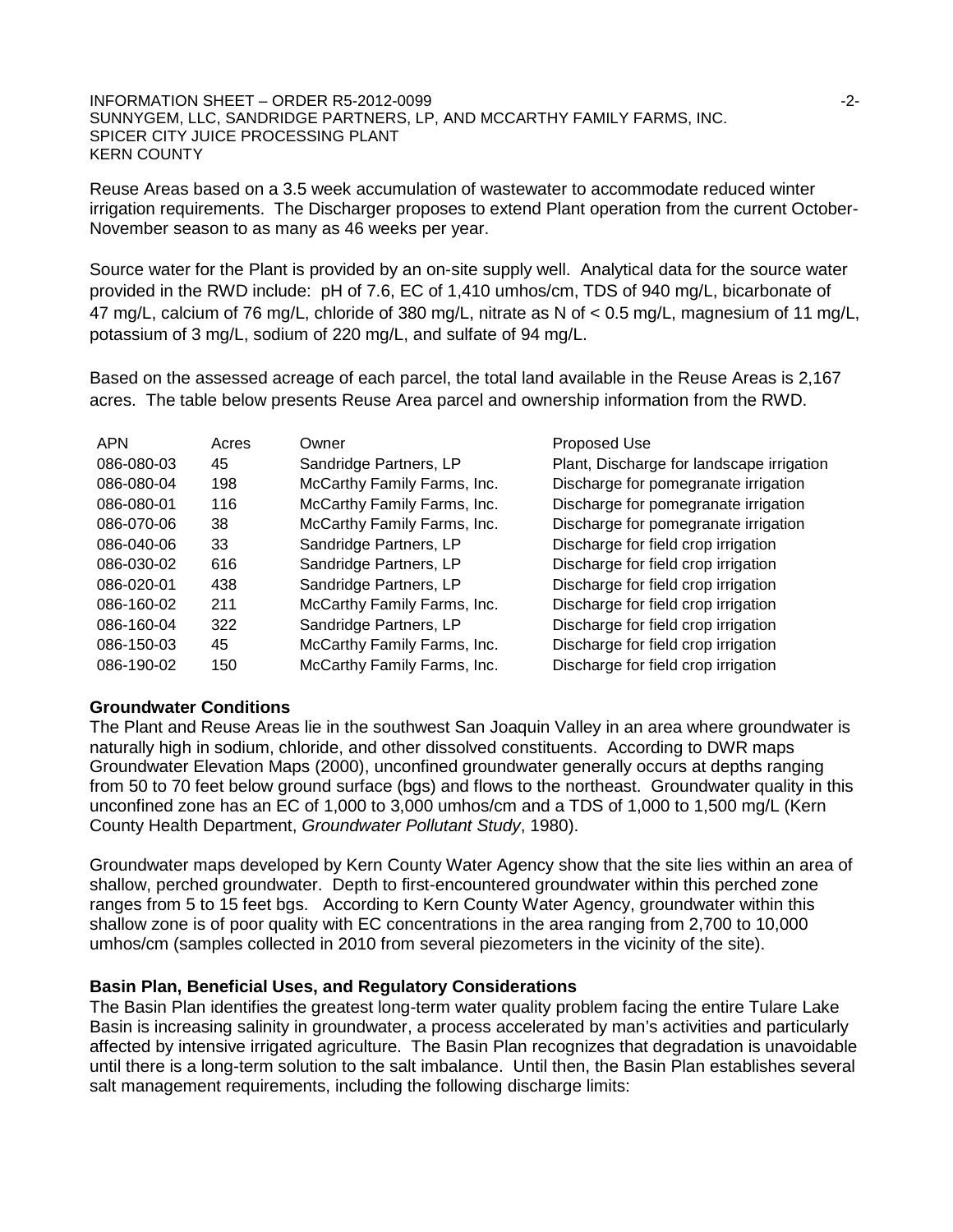#### INFORMATION SHEET – ORDER R5-2012-0099 **First and Contact Contact Contact Contact Contact Contact Contact Contact Contact Contact Contact Contact Contact Contact Contact Contact Contact Contact Contact Contact Contact Cont** SUNNYGEM, LLC, SANDRIDGE PARTNERS, LP, AND MCCARTHY FAMILY FARMS, INC. SPICER CITY JUICE PROCESSING PLANT KERN COUNTY

Reuse Areas based on a 3.5 week accumulation of wastewater to accommodate reduced winter irrigation requirements. The Discharger proposes to extend Plant operation from the current October-November season to as many as 46 weeks per year.

Source water for the Plant is provided by an on-site supply well. Analytical data for the source water provided in the RWD include: pH of 7.6, EC of 1,410 umhos/cm, TDS of 940 mg/L, bicarbonate of 47 mg/L, calcium of 76 mg/L, chloride of 380 mg/L, nitrate as N of < 0.5 mg/L, magnesium of 11 mg/L, potassium of 3 mg/L, sodium of 220 mg/L, and sulfate of 94 mg/L.

Based on the assessed acreage of each parcel, the total land available in the Reuse Areas is 2,167 acres. The table below presents Reuse Area parcel and ownership information from the RWD.

| <b>APN</b> | Acres | Owner                       | Proposed Use                              |
|------------|-------|-----------------------------|-------------------------------------------|
| 086-080-03 | 45    | Sandridge Partners, LP      | Plant, Discharge for landscape irrigation |
| 086-080-04 | 198   | McCarthy Family Farms, Inc. | Discharge for pomegranate irrigation      |
| 086-080-01 | 116   | McCarthy Family Farms, Inc. | Discharge for pomegranate irrigation      |
| 086-070-06 | 38    | McCarthy Family Farms, Inc. | Discharge for pomegranate irrigation      |
| 086-040-06 | 33    | Sandridge Partners, LP      | Discharge for field crop irrigation       |
| 086-030-02 | 616   | Sandridge Partners, LP      | Discharge for field crop irrigation       |
| 086-020-01 | 438   | Sandridge Partners, LP      | Discharge for field crop irrigation       |
| 086-160-02 | 211   | McCarthy Family Farms, Inc. | Discharge for field crop irrigation       |
| 086-160-04 | 322   | Sandridge Partners, LP      | Discharge for field crop irrigation       |
| 086-150-03 | 45    | McCarthy Family Farms, Inc. | Discharge for field crop irrigation       |
| 086-190-02 | 150   | McCarthy Family Farms, Inc. | Discharge for field crop irrigation       |

### **Groundwater Conditions**

The Plant and Reuse Areas lie in the southwest San Joaquin Valley in an area where groundwater is naturally high in sodium, chloride, and other dissolved constituents. According to DWR maps Groundwater Elevation Maps (2000), unconfined groundwater generally occurs at depths ranging from 50 to 70 feet below ground surface (bgs) and flows to the northeast. Groundwater quality in this unconfined zone has an EC of 1,000 to 3,000 umhos/cm and a TDS of 1,000 to 1,500 mg/L (Kern County Health Department, *Groundwater Pollutant Study*, 1980).

Groundwater maps developed by Kern County Water Agency show that the site lies within an area of shallow, perched groundwater. Depth to first-encountered groundwater within this perched zone ranges from 5 to 15 feet bgs. According to Kern County Water Agency, groundwater within this shallow zone is of poor quality with EC concentrations in the area ranging from 2,700 to 10,000 umhos/cm (samples collected in 2010 from several piezometers in the vicinity of the site).

### **Basin Plan, Beneficial Uses, and Regulatory Considerations**

The Basin Plan identifies the greatest long-term water quality problem facing the entire Tulare Lake Basin is increasing salinity in groundwater, a process accelerated by man's activities and particularly affected by intensive irrigated agriculture. The Basin Plan recognizes that degradation is unavoidable until there is a long-term solution to the salt imbalance. Until then, the Basin Plan establishes several salt management requirements, including the following discharge limits: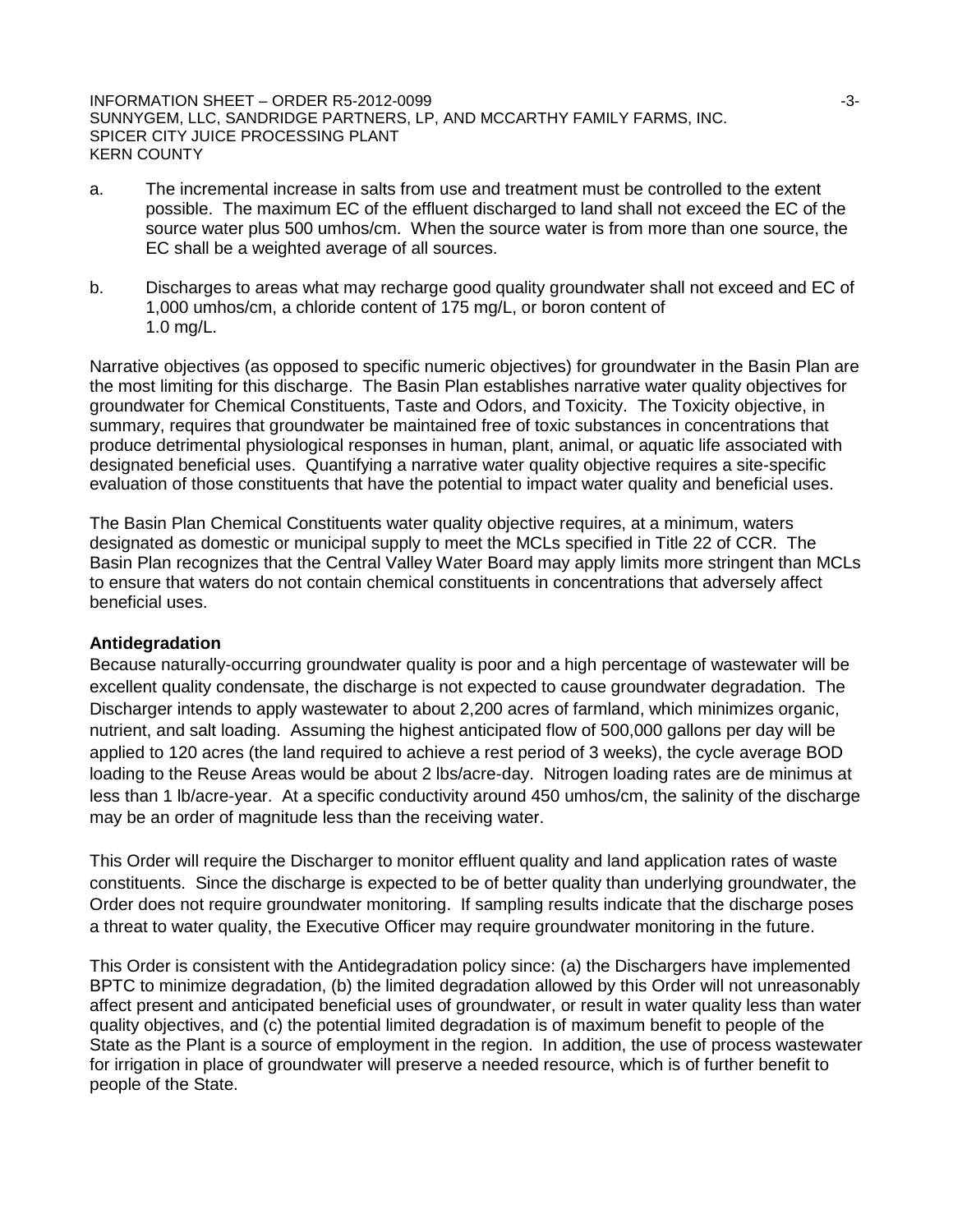INFORMATION SHEET – ORDER R5-2012-0099 -3- SUNNYGEM, LLC, SANDRIDGE PARTNERS, LP, AND MCCARTHY FAMILY FARMS, INC. SPICER CITY JUICE PROCESSING PLANT KERN COUNTY

- a. The incremental increase in salts from use and treatment must be controlled to the extent possible. The maximum EC of the effluent discharged to land shall not exceed the EC of the source water plus 500 umhos/cm. When the source water is from more than one source, the EC shall be a weighted average of all sources.
- b. Discharges to areas what may recharge good quality groundwater shall not exceed and EC of 1,000 umhos/cm, a chloride content of 175 mg/L, or boron content of 1.0 mg/L.

Narrative objectives (as opposed to specific numeric objectives) for groundwater in the Basin Plan are the most limiting for this discharge. The Basin Plan establishes narrative water quality objectives for groundwater for Chemical Constituents, Taste and Odors, and Toxicity. The Toxicity objective, in summary, requires that groundwater be maintained free of toxic substances in concentrations that produce detrimental physiological responses in human, plant, animal, or aquatic life associated with designated beneficial uses. Quantifying a narrative water quality objective requires a site-specific evaluation of those constituents that have the potential to impact water quality and beneficial uses.

The Basin Plan Chemical Constituents water quality objective requires, at a minimum, waters designated as domestic or municipal supply to meet the MCLs specified in Title 22 of CCR. The Basin Plan recognizes that the Central Valley Water Board may apply limits more stringent than MCLs to ensure that waters do not contain chemical constituents in concentrations that adversely affect beneficial uses.

### **Antidegradation**

Because naturally-occurring groundwater quality is poor and a high percentage of wastewater will be excellent quality condensate, the discharge is not expected to cause groundwater degradation. The Discharger intends to apply wastewater to about 2,200 acres of farmland, which minimizes organic, nutrient, and salt loading. Assuming the highest anticipated flow of 500,000 gallons per day will be applied to 120 acres (the land required to achieve a rest period of 3 weeks), the cycle average BOD loading to the Reuse Areas would be about 2 lbs/acre-day. Nitrogen loading rates are de minimus at less than 1 lb/acre-year. At a specific conductivity around 450 umhos/cm, the salinity of the discharge may be an order of magnitude less than the receiving water.

This Order will require the Discharger to monitor effluent quality and land application rates of waste constituents. Since the discharge is expected to be of better quality than underlying groundwater, the Order does not require groundwater monitoring. If sampling results indicate that the discharge poses a threat to water quality, the Executive Officer may require groundwater monitoring in the future.

This Order is consistent with the Antidegradation policy since: (a) the Dischargers have implemented BPTC to minimize degradation, (b) the limited degradation allowed by this Order will not unreasonably affect present and anticipated beneficial uses of groundwater, or result in water quality less than water quality objectives, and (c) the potential limited degradation is of maximum benefit to people of the State as the Plant is a source of employment in the region. In addition, the use of process wastewater for irrigation in place of groundwater will preserve a needed resource, which is of further benefit to people of the State.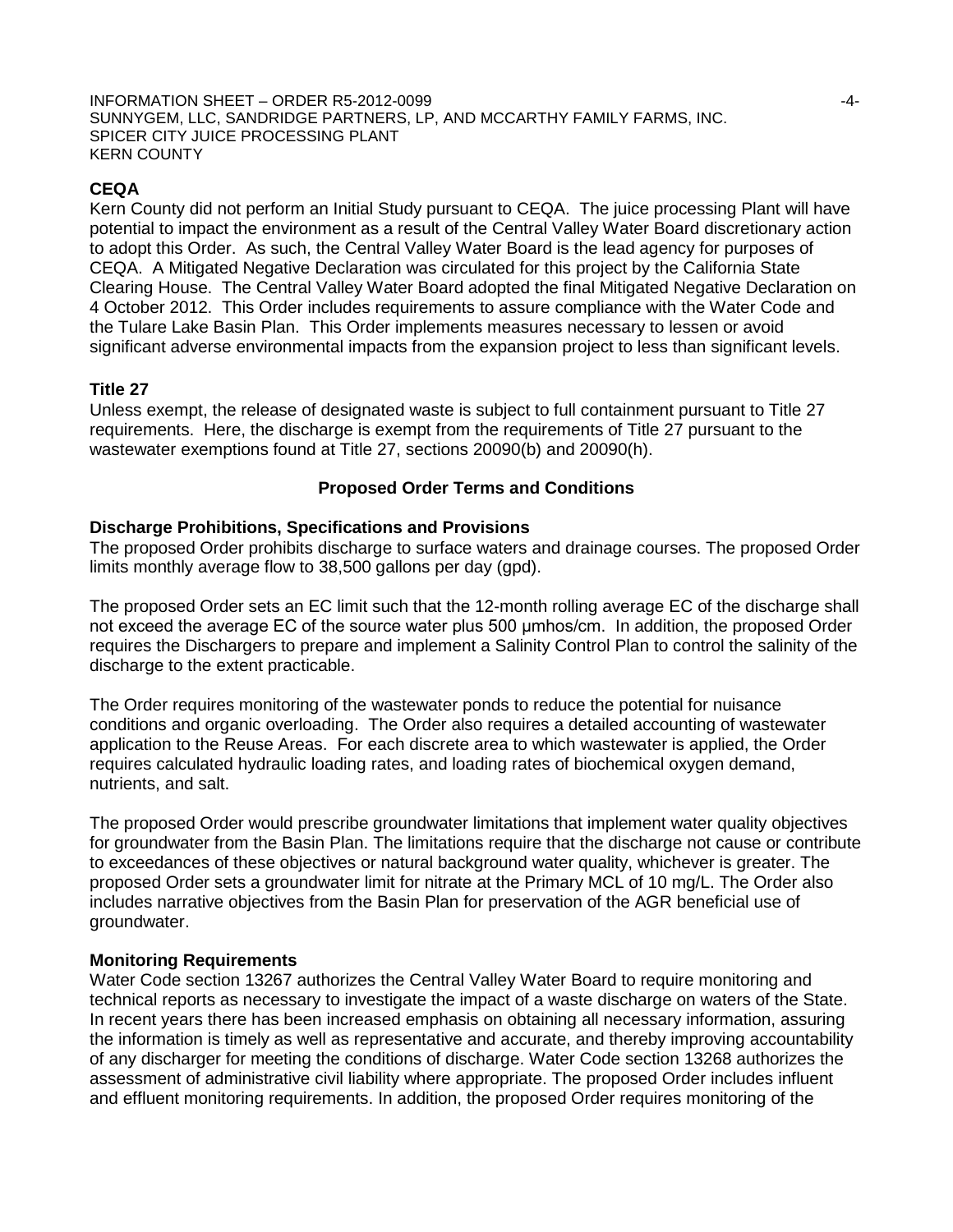INFORMATION SHEET – ORDER R5-2012-0099 -4- SUNNYGEM, LLC, SANDRIDGE PARTNERS, LP, AND MCCARTHY FAMILY FARMS, INC. SPICER CITY JUICE PROCESSING PLANT KERN COUNTY

## **CEQA**

Kern County did not perform an Initial Study pursuant to CEQA. The juice processing Plant will have potential to impact the environment as a result of the Central Valley Water Board discretionary action to adopt this Order. As such, the Central Valley Water Board is the lead agency for purposes of CEQA. A Mitigated Negative Declaration was circulated for this project by the California State Clearing House. The Central Valley Water Board adopted the final Mitigated Negative Declaration on 4 October 2012. This Order includes requirements to assure compliance with the Water Code and the Tulare Lake Basin Plan. This Order implements measures necessary to lessen or avoid significant adverse environmental impacts from the expansion project to less than significant levels.

### **Title 27**

Unless exempt, the release of designated waste is subject to full containment pursuant to Title 27 requirements. Here, the discharge is exempt from the requirements of Title 27 pursuant to the wastewater exemptions found at Title 27, sections 20090(b) and 20090(h).

## **Proposed Order Terms and Conditions**

### **Discharge Prohibitions, Specifications and Provisions**

The proposed Order prohibits discharge to surface waters and drainage courses. The proposed Order limits monthly average flow to 38,500 gallons per day (gpd).

The proposed Order sets an EC limit such that the 12-month rolling average EC of the discharge shall not exceed the average EC of the source water plus 500 μmhos/cm. In addition, the proposed Order requires the Dischargers to prepare and implement a Salinity Control Plan to control the salinity of the discharge to the extent practicable.

The Order requires monitoring of the wastewater ponds to reduce the potential for nuisance conditions and organic overloading. The Order also requires a detailed accounting of wastewater application to the Reuse Areas. For each discrete area to which wastewater is applied, the Order requires calculated hydraulic loading rates, and loading rates of biochemical oxygen demand, nutrients, and salt.

The proposed Order would prescribe groundwater limitations that implement water quality objectives for groundwater from the Basin Plan. The limitations require that the discharge not cause or contribute to exceedances of these objectives or natural background water quality, whichever is greater. The proposed Order sets a groundwater limit for nitrate at the Primary MCL of 10 mg/L. The Order also includes narrative objectives from the Basin Plan for preservation of the AGR beneficial use of groundwater.

### **Monitoring Requirements**

Water Code section 13267 authorizes the Central Valley Water Board to require monitoring and technical reports as necessary to investigate the impact of a waste discharge on waters of the State. In recent years there has been increased emphasis on obtaining all necessary information, assuring the information is timely as well as representative and accurate, and thereby improving accountability of any discharger for meeting the conditions of discharge. Water Code section 13268 authorizes the assessment of administrative civil liability where appropriate. The proposed Order includes influent and effluent monitoring requirements. In addition, the proposed Order requires monitoring of the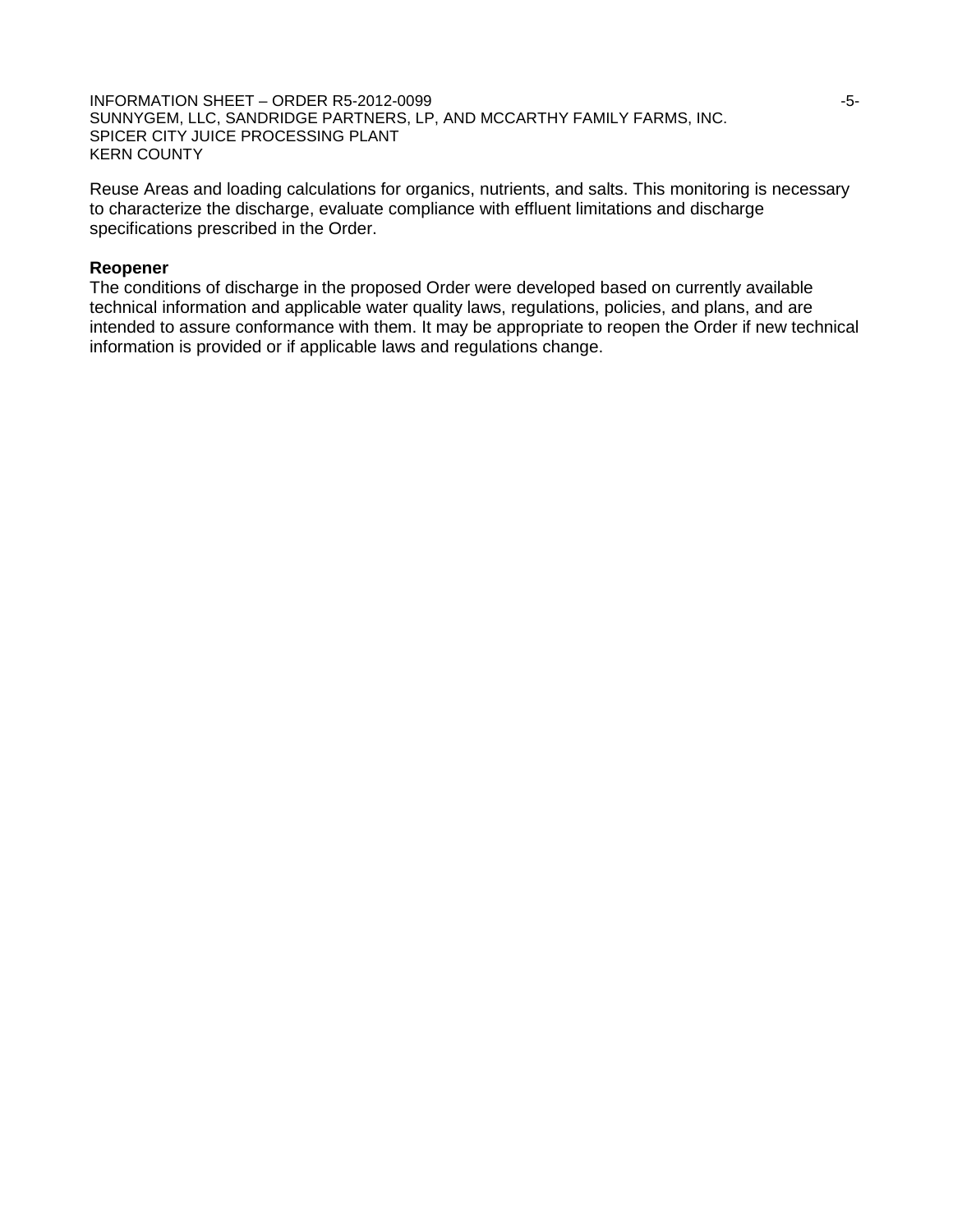INFORMATION SHEET – ORDER R5-2012-0099 **FOR SHEET – ORDER R5-2012-0099** SUNNYGEM, LLC, SANDRIDGE PARTNERS, LP, AND MCCARTHY FAMILY FARMS, INC. SPICER CITY JUICE PROCESSING PLANT KERN COUNTY

Reuse Areas and loading calculations for organics, nutrients, and salts. This monitoring is necessary to characterize the discharge, evaluate compliance with effluent limitations and discharge specifications prescribed in the Order.

### **Reopener**

The conditions of discharge in the proposed Order were developed based on currently available technical information and applicable water quality laws, regulations, policies, and plans, and are intended to assure conformance with them. It may be appropriate to reopen the Order if new technical information is provided or if applicable laws and regulations change.